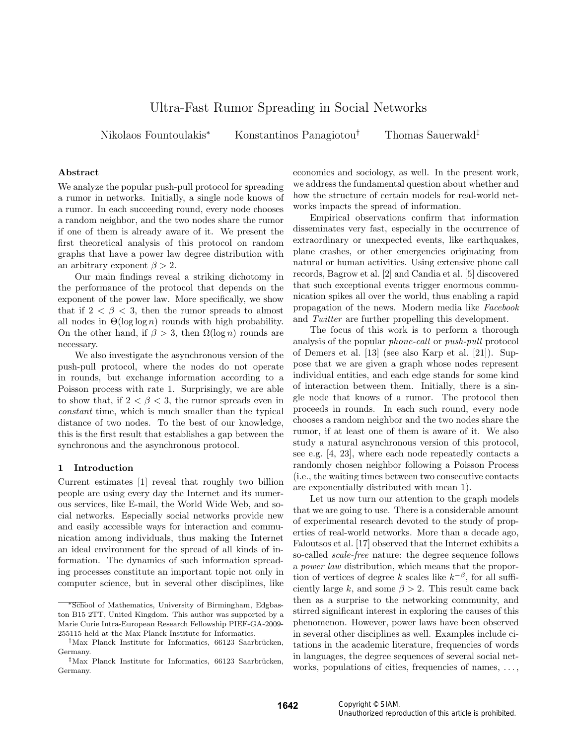# Ultra-Fast Rumor Spreading in Social Networks

Nikolaos Fountoulakis<sup>∗</sup> Konstantinos Panagiotou<sup>†</sup> Thomas Sauerwald<sup>‡</sup>

#### Abstract

We analyze the popular push-pull protocol for spreading a rumor in networks. Initially, a single node knows of a rumor. In each succeeding round, every node chooses a random neighbor, and the two nodes share the rumor if one of them is already aware of it. We present the first theoretical analysis of this protocol on random graphs that have a power law degree distribution with an arbitrary exponent  $\beta > 2$ .

Our main findings reveal a striking dichotomy in the performance of the protocol that depends on the exponent of the power law. More specifically, we show that if  $2 < \beta < 3$ , then the rumor spreads to almost all nodes in  $\Theta(\log \log n)$  rounds with high probability. On the other hand, if  $\beta > 3$ , then  $\Omega(\log n)$  rounds are necessary.

We also investigate the asynchronous version of the push-pull protocol, where the nodes do not operate in rounds, but exchange information according to a Poisson process with rate 1. Surprisingly, we are able to show that, if  $2 < \beta < 3$ , the rumor spreads even in constant time, which is much smaller than the typical distance of two nodes. To the best of our knowledge, this is the first result that establishes a gap between the synchronous and the asynchronous protocol.

### 1 Introduction

Current estimates [1] reveal that roughly two billion people are using every day the Internet and its numerous services, like E-mail, the World Wide Web, and social networks. Especially social networks provide new and easily accessible ways for interaction and communication among individuals, thus making the Internet an ideal environment for the spread of all kinds of information. The dynamics of such information spreading processes constitute an important topic not only in computer science, but in several other disciplines, like

economics and sociology, as well. In the present work, we address the fundamental question about whether and how the structure of certain models for real-world networks impacts the spread of information.

Empirical observations confirm that information disseminates very fast, especially in the occurrence of extraordinary or unexpected events, like earthquakes, plane crashes, or other emergencies originating from natural or human activities. Using extensive phone call records, Bagrow et al. [2] and Candia et al. [5] discovered that such exceptional events trigger enormous communication spikes all over the world, thus enabling a rapid propagation of the news. Modern media like Facebook and Twitter are further propelling this development.

The focus of this work is to perform a thorough analysis of the popular phone-call or push-pull protocol of Demers et al. [13] (see also Karp et al. [21]). Suppose that we are given a graph whose nodes represent individual entities, and each edge stands for some kind of interaction between them. Initially, there is a single node that knows of a rumor. The protocol then proceeds in rounds. In each such round, every node chooses a random neighbor and the two nodes share the rumor, if at least one of them is aware of it. We also study a natural asynchronous version of this protocol, see e.g. [4, 23], where each node repeatedly contacts a randomly chosen neighbor following a Poisson Process (i.e., the waiting times between two consecutive contacts are exponentially distributed with mean 1).

Let us now turn our attention to the graph models that we are going to use. There is a considerable amount of experimental research devoted to the study of properties of real-world networks. More than a decade ago, Faloutsos et al. [17] observed that the Internet exhibits a so-called scale-free nature: the degree sequence follows a power law distribution, which means that the proportion of vertices of degree k scales like  $k^{-\beta}$ , for all sufficiently large k, and some  $\beta > 2$ . This result came back then as a surprise to the networking community, and stirred significant interest in exploring the causes of this phenomenon. However, power laws have been observed in several other disciplines as well. Examples include citations in the academic literature, frequencies of words in languages, the degree sequences of several social networks, populations of cities, frequencies of names, ...,

<sup>∗</sup>School of Mathematics, University of Birmingham, Edgbaston B15 2TT, United Kingdom. This author was supported by a Marie Curie Intra-European Research Fellowship PIEF-GA-2009- 255115 held at the Max Planck Institute for Informatics.

<sup>&</sup>lt;sup>†</sup>Max Planck Institute for Informatics, 66123 Saarbrücken, Germany.

<sup>&</sup>lt;sup>‡</sup>Max Planck Institute for Informatics, 66123 Saarbrücken, Germany.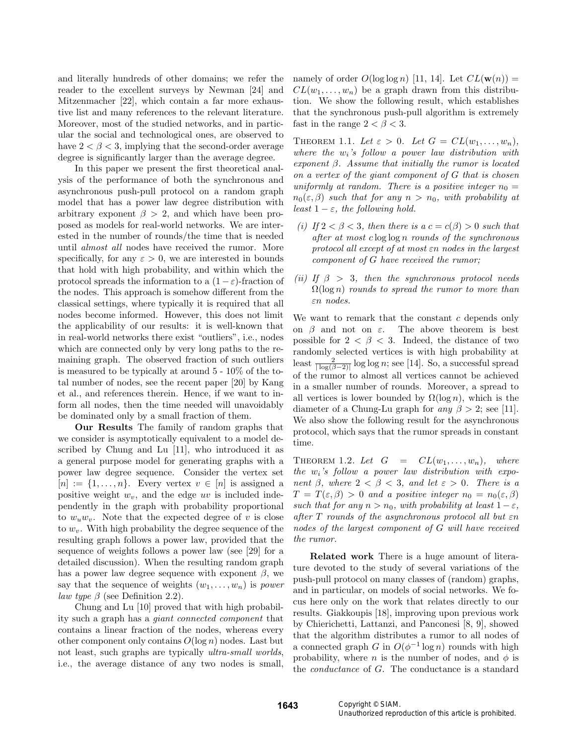and literally hundreds of other domains; we refer the reader to the excellent surveys by Newman [24] and Mitzenmacher [22], which contain a far more exhaustive list and many references to the relevant literature. Moreover, most of the studied networks, and in particular the social and technological ones, are observed to have  $2 < \beta < 3$ , implying that the second-order average degree is significantly larger than the average degree.

In this paper we present the first theoretical analysis of the performance of both the synchronous and asynchronous push-pull protocol on a random graph model that has a power law degree distribution with arbitrary exponent  $\beta > 2$ , and which have been proposed as models for real-world networks. We are interested in the number of rounds/the time that is needed until almost all nodes have received the rumor. More specifically, for any  $\varepsilon > 0$ , we are interested in bounds that hold with high probability, and within which the protocol spreads the information to a  $(1 - \varepsilon)$ -fraction of the nodes. This approach is somehow different from the classical settings, where typically it is required that all nodes become informed. However, this does not limit the applicability of our results: it is well-known that in real-world networks there exist "outliers", i.e., nodes which are connected only by very long paths to the remaining graph. The observed fraction of such outliers is measured to be typically at around 5 - 10% of the total number of nodes, see the recent paper [20] by Kang et al., and references therein. Hence, if we want to inform all nodes, then the time needed will unavoidably be dominated only by a small fraction of them.

Our Results The family of random graphs that we consider is asymptotically equivalent to a model described by Chung and Lu [11], who introduced it as a general purpose model for generating graphs with a power law degree sequence. Consider the vertex set  $[n] := \{1, \ldots, n\}$ . Every vertex  $v \in [n]$  is assigned a positive weight  $w_v$ , and the edge uv is included independently in the graph with probability proportional to  $w_u w_v$ . Note that the expected degree of v is close to  $w<sub>v</sub>$ . With high probability the degree sequence of the resulting graph follows a power law, provided that the sequence of weights follows a power law (see [29] for a detailed discussion). When the resulting random graph has a power law degree sequence with exponent  $\beta$ , we say that the sequence of weights  $(w_1, \ldots, w_n)$  is *power law type*  $\beta$  (see Definition 2.2).

Chung and Lu [10] proved that with high probability such a graph has a giant connected component that contains a linear fraction of the nodes, whereas every other component only contains  $O(\log n)$  nodes. Last but not least, such graphs are typically *ultra-small worlds*, i.e., the average distance of any two nodes is small,

namely of order  $O(\log \log n)$  [11, 14]. Let  $CL(\mathbf{w}(n)) =$  $CL(w_1, \ldots, w_n)$  be a graph drawn from this distribution. We show the following result, which establishes that the synchronous push-pull algorithm is extremely fast in the range  $2 < \beta < 3$ .

THEOREM 1.1. Let  $\varepsilon > 0$ . Let  $G = CL(w_1, \ldots, w_n)$ , where the  $w_i$ 's follow a power law distribution with exponent  $\beta$ . Assume that initially the rumor is located on a vertex of the giant component of G that is chosen uniformly at random. There is a positive integer  $n_0 =$  $n_0(\varepsilon,\beta)$  such that for any  $n > n_0$ , with probability at least  $1 - \varepsilon$ , the following hold.

- (i) If  $2 < \beta < 3$ , then there is a  $c = c(\beta) > 0$  such that after at most  $c \log \log n$  rounds of the synchronous protocol all except of at most εn nodes in the largest component of G have received the rumor;
- (ii) If  $\beta > 3$ , then the synchronous protocol needs  $\Omega(\log n)$  rounds to spread the rumor to more than εn nodes.

We want to remark that the constant  $c$  depends only on  $\beta$  and not on  $\varepsilon$ . The above theorem is best possible for  $2 < \beta < 3$ . Indeed, the distance of two randomly selected vertices is with high probability at least  $\frac{2}{|\log(\beta-2)|} \log \log n$ ; see [14]. So, a successful spread of the rumor to almost all vertices cannot be achieved in a smaller number of rounds. Moreover, a spread to all vertices is lower bounded by  $\Omega(\log n)$ , which is the diameter of a Chung-Lu graph for *any*  $\beta > 2$ ; see [11]. We also show the following result for the asynchronous protocol, which says that the rumor spreads in constant time.

THEOREM 1.2. Let  $G = CL(w_1, \ldots, w_n)$ , where the  $w_i$ 's follow a power law distribution with exponent  $\beta$ , where  $2 < \beta < 3$ , and let  $\varepsilon > 0$ . There is a  $T = T(\varepsilon, \beta) > 0$  and a positive integer  $n_0 = n_0(\varepsilon, \beta)$ such that for any  $n > n_0$ , with probability at least  $1 - \varepsilon$ , after T rounds of the asynchronous protocol all but εn nodes of the largest component of G will have received the rumor.

Related work There is a huge amount of literature devoted to the study of several variations of the push-pull protocol on many classes of (random) graphs, and in particular, on models of social networks. We focus here only on the work that relates directly to our results. Giakkoupis [18], improving upon previous work by Chierichetti, Lattanzi, and Panconesi [8, 9], showed that the algorithm distributes a rumor to all nodes of a connected graph G in  $O(\phi^{-1} \log n)$  rounds with high probability, where n is the number of nodes, and  $\phi$  is the conductance of G. The conductance is a standard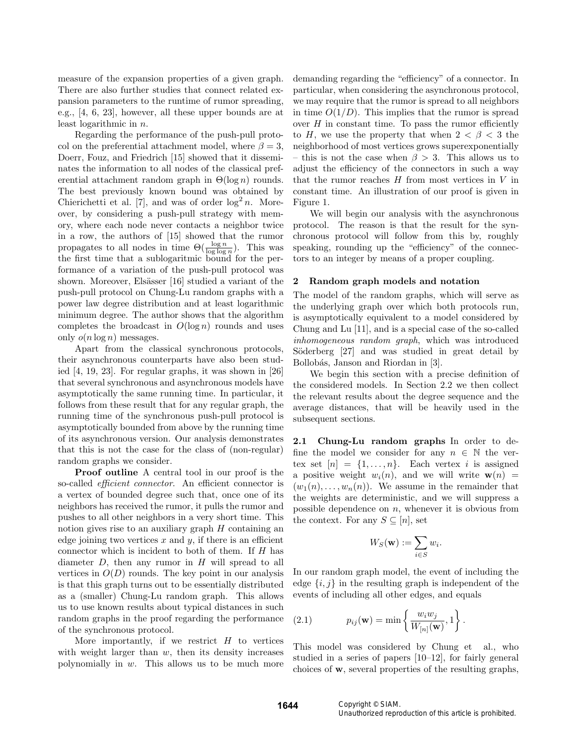measure of the expansion properties of a given graph. There are also further studies that connect related expansion parameters to the runtime of rumor spreading, e.g., [4, 6, 23], however, all these upper bounds are at least logarithmic in n.

Regarding the performance of the push-pull protocol on the preferential attachment model, where  $\beta = 3$ , Doerr, Fouz, and Friedrich [15] showed that it disseminates the information to all nodes of the classical preferential attachment random graph in  $\Theta(\log n)$  rounds. The best previously known bound was obtained by Chierichetti et al. [7], and was of order  $\log^2 n$ . Moreover, by considering a push-pull strategy with memory, where each node never contacts a neighbor twice in a row, the authors of [15] showed that the rumor propagates to all nodes in time  $\Theta(\frac{\log n}{\log \log n})$ . This was the first time that a sublogaritmic bound for the performance of a variation of the push-pull protocol was shown. Moreover, Elsässer [16] studied a variant of the push-pull protocol on Chung-Lu random graphs with a power law degree distribution and at least logarithmic minimum degree. The author shows that the algorithm completes the broadcast in  $O(\log n)$  rounds and uses only  $o(n \log n)$  messages.

Apart from the classical synchronous protocols, their asynchronous counterparts have also been studied [4, 19, 23]. For regular graphs, it was shown in [26] that several synchronous and asynchronous models have asymptotically the same running time. In particular, it follows from these result that for any regular graph, the running time of the synchronous push-pull protocol is asymptotically bounded from above by the running time of its asynchronous version. Our analysis demonstrates that this is not the case for the class of (non-regular) random graphs we consider.

Proof outline A central tool in our proof is the so-called *efficient connector*. An efficient connector is a vertex of bounded degree such that, once one of its neighbors has received the rumor, it pulls the rumor and pushes to all other neighbors in a very short time. This notion gives rise to an auxiliary graph  $H$  containing an edge joining two vertices  $x$  and  $y$ , if there is an efficient connector which is incident to both of them. If H has diameter  $D$ , then any rumor in  $H$  will spread to all vertices in  $O(D)$  rounds. The key point in our analysis is that this graph turns out to be essentially distributed as a (smaller) Chung-Lu random graph. This allows us to use known results about typical distances in such random graphs in the proof regarding the performance of the synchronous protocol.

More importantly, if we restrict  $H$  to vertices with weight larger than  $w$ , then its density increases polynomially in  $w$ . This allows us to be much more

demanding regarding the "efficiency" of a connector. In particular, when considering the asynchronous protocol, we may require that the rumor is spread to all neighbors in time  $O(1/D)$ . This implies that the rumor is spread over  $H$  in constant time. To pass the rumor efficiently to H, we use the property that when  $2 < \beta < 3$  the neighborhood of most vertices grows superexponentially – this is not the case when  $\beta > 3$ . This allows us to adjust the efficiency of the connectors in such a way that the rumor reaches  $H$  from most vertices in  $V$  in constant time. An illustration of our proof is given in Figure 1.

We will begin our analysis with the asynchronous protocol. The reason is that the result for the synchronous protocol will follow from this by, roughly speaking, rounding up the "efficiency" of the connectors to an integer by means of a proper coupling.

# 2 Random graph models and notation

The model of the random graphs, which will serve as the underlying graph over which both protocols run, is asymptotically equivalent to a model considered by Chung and Lu [11], and is a special case of the so-called inhomogeneous random graph, which was introduced Söderberg [27] and was studied in great detail by Bollobás, Janson and Riordan in [3].

We begin this section with a precise definition of the considered models. In Section 2.2 we then collect the relevant results about the degree sequence and the average distances, that will be heavily used in the subsequent sections.

2.1 Chung-Lu random graphs In order to define the model we consider for any  $n \in \mathbb{N}$  the vertex set  $[n] = \{1, \ldots, n\}$ . Each vertex i is assigned a positive weight  $w_i(n)$ , and we will write  $\mathbf{w}(n)$  =  $(w_1(n), \ldots, w_n(n))$ . We assume in the remainder that the weights are deterministic, and we will suppress a possible dependence on  $n$ , whenever it is obvious from the context. For any  $S \subseteq [n]$ , set

$$
W_S(\mathbf{w}) := \sum_{i \in S} w_i.
$$

In our random graph model, the event of including the edge  $\{i, j\}$  in the resulting graph is independent of the events of including all other edges, and equals

(2.1) 
$$
p_{ij}(\mathbf{w}) = \min \left\{ \frac{w_i w_j}{W_{[n]}(\mathbf{w})}, 1 \right\}.
$$

This model was considered by Chung et al., who studied in a series of papers [10–12], for fairly general choices of w, several properties of the resulting graphs,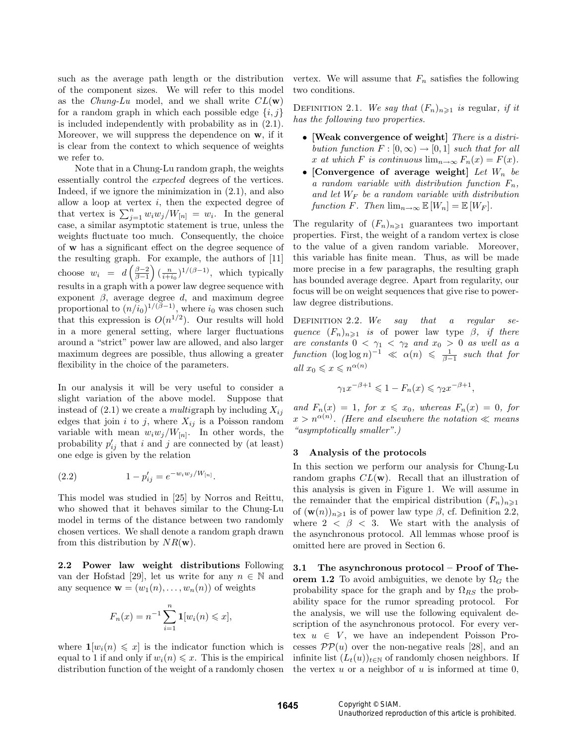such as the average path length or the distribution of the component sizes. We will refer to this model as the *Chung-Lu* model, and we shall write  $CL(\mathbf{w})$ for a random graph in which each possible edge  $\{i, j\}$ is included independently with probability as in (2.1). Moreover, we will suppress the dependence on w, if it is clear from the context to which sequence of weights we refer to.

Note that in a Chung-Lu random graph, the weights essentially control the expected degrees of the vertices. Indeed, if we ignore the minimization in (2.1), and also allow a loop at vertex  $i$ , then the expected degree of that vertex is  $\sum_{j=1}^n w_i w_j / W_{[n]} = w_i$ . In the general case, a similar asymptotic statement is true, unless the weights fluctuate too much. Consequently, the choice of w has a significant effect on the degree sequence of the resulting graph. For example, the authors of [11] choose  $w_i = d\left(\frac{\beta-2}{\beta-1}\right) \left(\frac{n}{i+i_0}\right)^{1/(\beta-1)},$  which typically results in a graph with a power law degree sequence with exponent  $\beta$ , average degree d, and maximum degree proportional to  $(n/i_0)^{1/(\beta-1)}$ , where  $i_0$  was chosen such that this expression is  $O(n^{1/2})$ . Our results will hold in a more general setting, where larger fluctuations around a "strict" power law are allowed, and also larger maximum degrees are possible, thus allowing a greater flexibility in the choice of the parameters.

In our analysis it will be very useful to consider a slight variation of the above model. Suppose that instead of  $(2.1)$  we create a *multigraph* by including  $X_{ij}$ edges that join i to j, where  $X_{ij}$  is a Poisson random variable with mean  $w_i w_j / W_{[n]}$ . In other words, the probability  $p'_{ij}$  that i and j are connected by (at least) one edge is given by the relation

(2.2) 
$$
1 - p'_{ij} = e^{-w_i w_j / W_{[n]}}.
$$

This model was studied in [25] by Norros and Reittu, who showed that it behaves similar to the Chung-Lu model in terms of the distance between two randomly chosen vertices. We shall denote a random graph drawn from this distribution by  $NR(\mathbf{w})$ .

2.2 Power law weight distributions Following van der Hofstad [29], let us write for any  $n \in \mathbb{N}$  and any sequence  $\mathbf{w} = (w_1(n), \dots, w_n(n))$  of weights

$$
F_n(x) = n^{-1} \sum_{i=1}^n \mathbf{1}[w_i(n) \leq x],
$$

where  $\mathbf{1}[w_i(n) \leq x]$  is the indicator function which is equal to 1 if and only if  $w_i(n) \leq x$ . This is the empirical distribution function of the weight of a randomly chosen vertex. We will assume that  $F_n$  satisfies the following two conditions.

DEFINITION 2.1. We say that  $(F_n)_{n\geq 1}$  is regular, if it has the following two properties.

- [Weak convergence of weight] There is a distribution function  $F : [0, \infty) \to [0, 1]$  such that for all x at which F is continuous  $\lim_{n\to\infty} F_n(x) = F(x)$ .
- [Convergence of average weight] Let  $W_n$  be a random variable with distribution function  $F_n$ , and let  $W_F$  be a random variable with distribution function F. Then  $\lim_{n\to\infty} \mathbb{E}[W_n] = \mathbb{E}[W_F]$ .

The regularity of  $(F_n)_{n\geq 1}$  guarantees two important properties. First, the weight of a random vertex is close to the value of a given random variable. Moreover, this variable has finite mean. Thus, as will be made more precise in a few paragraphs, the resulting graph has bounded average degree. Apart from regularity, our focus will be on weight sequences that give rise to powerlaw degree distributions.

DEFINITION 2.2. We say that a regular sequence  $(F_n)_{n\geq 1}$  is of power law type  $\beta$ , if there are constants  $0 < \gamma_1 < \gamma_2$  and  $x_0 > 0$  as well as a function  $(\log \log n)^{-1} \ll \alpha(n) \leq \frac{1}{\beta-1}$  such that for all  $x_0\leqslant x\leqslant n^{\alpha(n)}$ 

$$
\gamma_1 x^{-\beta+1} \leq 1 - F_n(x) \leq \gamma_2 x^{-\beta+1},
$$

and  $F_n(x) = 1$ , for  $x \le x_0$ , whereas  $F_n(x) = 0$ , for  $x > n^{\alpha(n)}$ . (Here and elsewhere the notation  $\ll$  means "asymptotically smaller".)

# 3 Analysis of the protocols

In this section we perform our analysis for Chung-Lu random graphs  $CL(w)$ . Recall that an illustration of this analysis is given in Figure 1. We will assume in the remainder that the empirical distribution  $(F_n)_{n\geq 1}$ of  $(\mathbf{w}(n))_{n\geqslant1}$  is of power law type  $\beta$ , cf. Definition 2.2, where  $2 < \beta < 3$ . We start with the analysis of the asynchronous protocol. All lemmas whose proof is omitted here are proved in Section 6.

3.1 The asynchronous protocol – Proof of Theorem 1.2 To avoid ambiguities, we denote by  $\Omega_G$  the probability space for the graph and by  $\Omega_{RS}$  the probability space for the rumor spreading protocol. For the analysis, we will use the following equivalent description of the asynchronous protocol. For every vertex  $u \in V$ , we have an independent Poisson Processes  $\mathcal{PP}(u)$  over the non-negative reals [28], and an infinite list  $(L_t(u))_{t\in\mathbb{N}}$  of randomly chosen neighbors. If the vertex  $u$  or a neighbor of  $u$  is informed at time 0,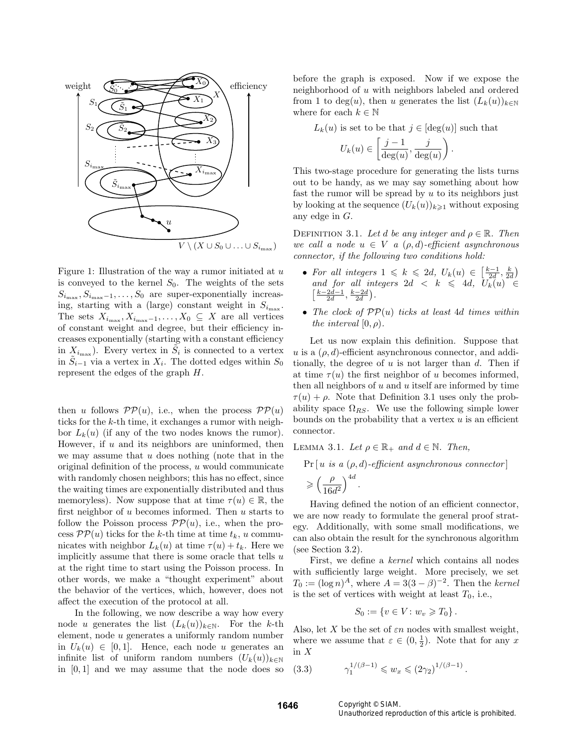

Figure 1: Illustration of the way a rumor initiated at  $u$ is conveyed to the kernel  $S_0$ . The weights of the sets  $S_{i_{\text{max}}}, S_{i_{\text{max}}-1}, \ldots, S_0$  are super-exponentially increasing, starting with a (large) constant weight in  $S_{i_{\text{max}}}$ . The sets  $X_{i_{\text{max}}}, X_{i_{\text{max}}-1}, \ldots, X_0 \subseteq X$  are all vertices of constant weight and degree, but their efficiency increases exponentially (starting with a constant efficiency in  $X_{i_{\text{max}}}$ ). Every vertex in  $\tilde{S}_i$  is connected to a vertex in  $\tilde{S}_{i-1}$  via a vertex in  $X_i$ . The dotted edges within  $S_0$ represent the edges of the graph H.

then u follows  $\mathcal{PP}(u)$ , i.e., when the process  $\mathcal{PP}(u)$ ticks for the k-th time, it exchanges a rumor with neighbor  $L_k(u)$  (if any of the two nodes knows the rumor). However, if  $u$  and its neighbors are uninformed, then we may assume that  $u$  does nothing (note that in the original definition of the process,  $u$  would communicate with randomly chosen neighbors; this has no effect, since the waiting times are exponentially distributed and thus memoryless). Now suppose that at time  $\tau(u) \in \mathbb{R}$ , the first neighbor of  $u$  becomes informed. Then  $u$  starts to follow the Poisson process  $\mathcal{PP}(u)$ , i.e., when the process  $\mathcal{PP}(u)$  ticks for the k-th time at time  $t_k$ , u communicates with neighbor  $L_k(u)$  at time  $\tau(u) + t_k$ . Here we implicitly assume that there is some oracle that tells  $u$ at the right time to start using the Poisson process. In other words, we make a "thought experiment" about the behavior of the vertices, which, however, does not affect the execution of the protocol at all.

In the following, we now describe a way how every node u generates the list  $(L_k(u))_{k\in\mathbb{N}}$ . For the k-th element, node u generates a uniformly random number in  $U_k(u) \in [0,1]$ . Hence, each node u generates an infinite list of uniform random numbers  $(U_k(u))_{k\in\mathbb{N}}$ in  $[0, 1]$  and we may assume that the node does so before the graph is exposed. Now if we expose the neighborhood of u with neighbors labeled and ordered from 1 to deg(u), then u generates the list  $(L_k(u))_{k\in\mathbb{N}}$ where for each  $k \in \mathbb{N}$ 

 $L_k(u)$  is set to be that  $j \in [\deg(u)]$  such that

$$
U_k(u) \in \left[\frac{j-1}{\deg(u)}, \frac{j}{\deg(u)}\right).
$$

This two-stage procedure for generating the lists turns out to be handy, as we may say something about how fast the rumor will be spread by  $u$  to its neighbors just by looking at the sequence  $(U_k(u))_{k\geq 1}$  without exposing any edge in G.

DEFINITION 3.1. Let d be any integer and  $\rho \in \mathbb{R}$ . Then we call a node  $u \in V$  a  $(\rho, d)$ -efficient asynchronous connector, if the following two conditions hold:

- For all integers  $1 \leq k \leq 2d$ ,  $U_k(u) \in \left[\frac{k-1}{2d}, \frac{k}{2d}\right)$ and for all integers  $2d < k \leq 4d$ ,  $U_k(u) \in$  $\left[\frac{k-2d-1}{2d}, \frac{k-2d}{2d}\right)$ .
- The clock of  $PP(u)$  ticks at least 4d times within the interval  $[0, \rho)$ .

Let us now explain this definition. Suppose that u is a  $(\rho, d)$ -efficient asynchronous connector, and additionally, the degree of  $u$  is not larger than  $d$ . Then if at time  $\tau(u)$  the first neighbor of u becomes informed, then all neighbors of  $u$  and  $u$  itself are informed by time  $\tau(u) + \rho$ . Note that Definition 3.1 uses only the probability space  $\Omega_{RS}$ . We use the following simple lower bounds on the probability that a vertex  $u$  is an efficient connector.

LEMMA 3.1. Let  $\rho \in \mathbb{R}_+$  and  $d \in \mathbb{N}$ . Then,

 $Pr[u \text{ is a } (\rho, d) \text{-efficient asymptaneous connector}]$ 

$$
\geqslant \left(\frac{\rho}{16d^2}\right)^{4d}
$$

.

Having defined the notion of an efficient connector, we are now ready to formulate the general proof strategy. Additionally, with some small modifications, we can also obtain the result for the synchronous algorithm (see Section 3.2).

First, we define a kernel which contains all nodes with sufficiently large weight. More precisely, we set  $T_0 := (\log n)^A$ , where  $A = 3(3 - \beta)^{-2}$ . Then the kernel is the set of vertices with weight at least  $T_0$ , i.e.,

$$
S_0 := \{ v \in V \colon w_v \geq T_0 \}.
$$

Also, let X be the set of  $\varepsilon n$  nodes with smallest weight, where we assume that  $\varepsilon \in (0, \frac{1}{2})$ . Note that for any x in X

$$
0 \qquad \gamma_1^{1/(\beta - 1)} \leqslant w_x \leqslant (2\gamma_2)^{1/(\beta - 1)}.
$$

 $(3.3)$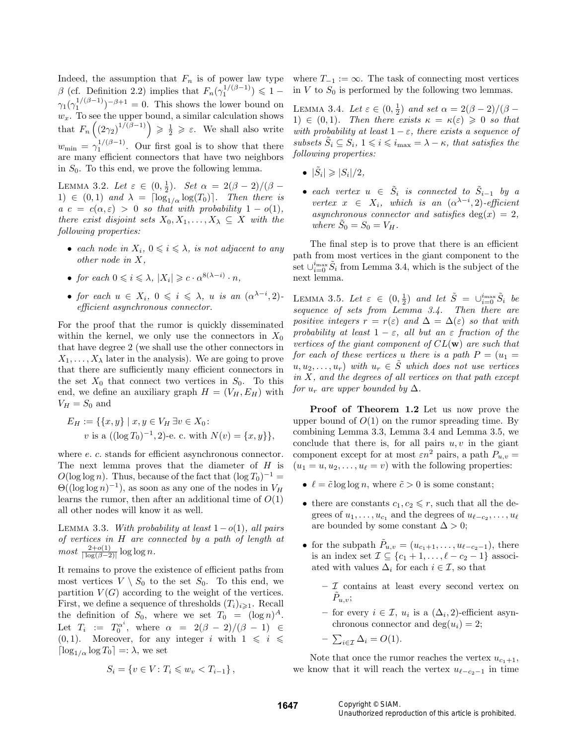Indeed, the assumption that  $F_n$  is of power law type  $\beta$  (cf. Definition 2.2) implies that  $F_n(\gamma_1^{1/(\beta-1)}) \leq 1$  –  $\gamma_1(\gamma_1^{1/(\beta-1)})^{-\beta+1} = 0$ . This shows the lower bound on  $w_x$ . To see the upper bound, a similar calculation shows that  $F_n\left(\left(2\gamma_2\right)^{1/(\beta-1)}\right) \geqslant \frac{1}{2} \geqslant \varepsilon$ . We shall also write  $w_{\text{min}} = \gamma_1^{1/(\beta - 1)}$ . Our first goal is to show that there are many efficient connectors that have two neighbors in  $S_0$ . To this end, we prove the following lemma.

LEMMA 3.2. Let  $\varepsilon \in (0, \frac{1}{2})$ . Set  $\alpha = 2(\beta - 2)/(\beta -$ 1)  $\in (0,1)$  and  $\lambda = \lceil \log_{1/\alpha} \log(T_0) \rceil$ . Then there is  $a \ c = c(\alpha, \varepsilon) > 0$  so that with probability  $1 - o(1)$ , there exist disjoint sets  $X_0, X_1, \ldots, X_{\lambda} \subseteq X$  with the following properties:

- each node in  $X_i$ ,  $0 \leq i \leq \lambda$ , is not adjacent to any other node in X,
- for each  $0 \leq i \leq \lambda$ ,  $|X_i| \geq c \cdot \alpha^{8(\lambda i)} \cdot n$ ,
- for each  $u \in X_i$ ,  $0 \leqslant i \leqslant \lambda$ , u is an  $(\alpha^{\lambda-i}, 2)$ efficient asynchronous connector.

For the proof that the rumor is quickly disseminated within the kernel, we only use the connectors in  $X_0$ that have degree 2 (we shall use the other connectors in  $X_1, \ldots, X_\lambda$  later in the analysis). We are going to prove that there are sufficiently many efficient connectors in the set  $X_0$  that connect two vertices in  $S_0$ . To this end, we define an auxiliary graph  $H = (V_H, E_H)$  with  $V_H = S_0$  and

$$
E_H := \{ \{x, y\} \mid x, y \in V_H \exists v \in X_0 : v \text{ is a } ((\log T_0)^{-1}, 2) \text{-}e. \text{ c. with } N(v) = \{x, y\} \},
$$

where  $e$ .  $c$ . stands for efficient asynchronous connector. The next lemma proves that the diameter of H is  $O(\log \log n)$ . Thus, because of the fact that  $(\log T_0)^{-1}$  =  $\Theta((\log \log n)^{-1})$ , as soon as any one of the nodes in  $V_H$ learns the rumor, then after an additional time of  $O(1)$ all other nodes will know it as well.

LEMMA 3.3. With probability at least  $1-o(1)$ , all pairs of vertices in H are connected by a path of length at  $most \frac{2+o(1)}{|\log(\beta-2)|} \log \log n.$ 

It remains to prove the existence of efficient paths from most vertices  $V \setminus S_0$  to the set  $S_0$ . To this end, we partition  $V(G)$  according to the weight of the vertices. First, we define a sequence of thresholds  $(T_i)_{i\geq 1}$ . Recall the definition of  $S_0$ , where we set  $T_0 = (\log n)^A$ . Let  $T_i := T_0^{\alpha^i}$ , where  $\alpha = 2(\beta - 2)/(\beta - 1) \in$ (0,1). Moreover, for any integer i with  $1 \leq i \leq$  $\lceil \log_{1/\alpha} \log T_0 \rceil =: \lambda$ , we set

$$
S_i = \{ v \in V : T_i \leqslant w_v < T_{i-1} \},
$$

where  $T_{-1} := \infty$ . The task of connecting most vertices in  $V$  to  $S_0$  is performed by the following two lemmas.

LEMMA 3.4. Let  $\varepsilon \in (0, \frac{1}{2})$  and set  $\alpha = 2(\beta - 2)/(\beta -$ 1)  $\in$  (0,1). Then there exists  $\kappa = \kappa(\varepsilon) \geq 0$  so that with probability at least  $1 - \varepsilon$ , there exists a sequence of subsets  $\tilde{S}_i \subseteq S_i$ ,  $1 \leq i \leq i_{\text{max}} = \lambda - \kappa$ , that satisfies the following properties:

- $|\tilde{S}_i| \geqslant |S_i|/2$ ,
- each vertex  $u \in \tilde{S}_i$  is connected to  $\tilde{S}_{i-1}$  by a vertex  $x \in X_i$ , which is an  $(\alpha^{\lambda-i}, 2)$ -efficient asynchronous connector and satisfies deg(x) = 2, where  $\tilde{S}_0 = S_0 = V_H$ .

The final step is to prove that there is an efficient path from most vertices in the giant component to the set  $\cup_{i=0}^{i_{\text{max}}} \tilde{S}_i$  from Lemma 3.4, which is the subject of the next lemma.

LEMMA 3.5. Let  $\varepsilon \in (0, \frac{1}{2})$  and let  $\tilde{S} = \bigcup_{i=0}^{i_{\text{max}}} \tilde{S}_i$  be sequence of sets from Lemma 3.4. Then there are positive integers  $r = r(\varepsilon)$  and  $\Delta = \Delta(\varepsilon)$  so that with probability at least  $1 - \varepsilon$ , all but an  $\varepsilon$  fraction of the vertices of the giant component of  $CL(w)$  are such that for each of these vertices u there is a path  $P = (u_1 =$  $u, u_2, \ldots, u_r$ ) with  $u_r \in \tilde{S}$  which does not use vertices in  $X$ , and the degrees of all vertices on that path except for  $u_r$  are upper bounded by  $\Delta$ .

Proof of Theorem 1.2 Let us now prove the upper bound of  $O(1)$  on the rumor spreading time. By combining Lemma 3.3, Lemma 3.4 and Lemma 3.5, we conclude that there is, for all pairs  $u, v$  in the giant component except for at most  $\varepsilon n^2$  pairs, a path  $P_{u,v}$  =  $(u_1 = u, u_2, \dots, u_\ell = v)$  with the following properties:

- $\ell = \tilde{c} \log \log n$ , where  $\tilde{c} > 0$  is some constant;
- there are constants  $c_1, c_2 \leq r$ , such that all the degrees of  $u_1, \ldots, u_{c_1}$  and the degrees of  $u_{\ell-c_2}, \ldots, u_{\ell}$ are bounded by some constant  $\Delta > 0$ ;
- for the subpath  $\tilde{P}_{u,v} = (u_{c_1+1}, \ldots, u_{\ell-c_2-1}),$  there is an index set  $\mathcal{I} \subseteq \{c_1 + 1, \ldots, \ell - c_2 - 1\}$  associated with values  $\Delta_i$  for each  $i \in \mathcal{I}$ , so that
	- $-$  *T* contains at least every second vertex on  $\tilde{P}_{u,v}$ ;
	- $-$  for every *i* ∈ *I*, *u<sub>i</sub>* is a (Δ<sub>*i*</sub>, 2)-efficient asynchronous connector and  $deg(u_i) = 2$ ;

$$
- \sum_{i \in \mathcal{I}} \Delta_i = O(1).
$$

Note that once the rumor reaches the vertex  $u_{c_1+1}$ , we know that it will reach the vertex  $u_{\ell-c_2-1}$  in time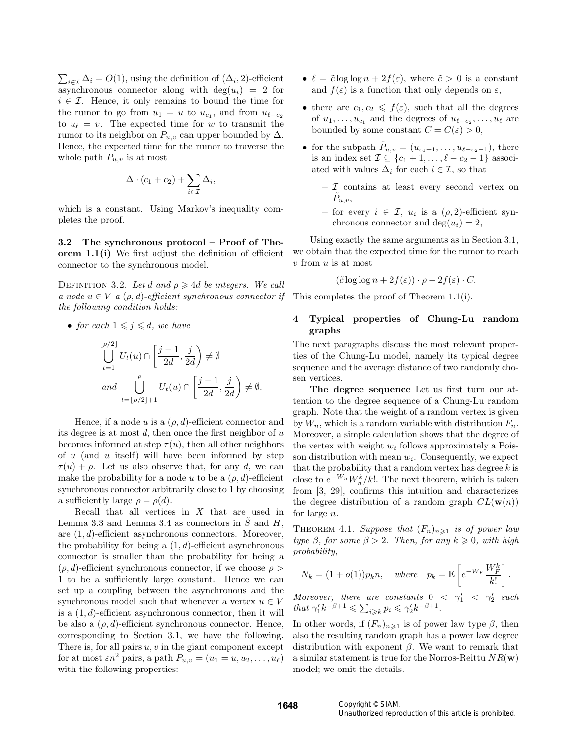$\sum_{i \in \mathcal{I}} \Delta_i = O(1)$ , using the definition of  $(\Delta_i, 2)$ -efficient asynchronous connector along with  $deg(u_i) = 2$  for  $i \in \mathcal{I}$ . Hence, it only remains to bound the time for the rumor to go from  $u_1 = u$  to  $u_{c_1}$ , and from  $u_{\ell-c_2}$ to  $u_{\ell} = v$ . The expected time for w to transmit the rumor to its neighbor on  $P_{u,v}$  can upper bounded by  $\Delta$ . Hence, the expected time for the rumor to traverse the whole path  $P_{u,v}$  is at most

$$
\Delta \cdot (c_1 + c_2) + \sum_{i \in \mathcal{I}} \Delta_i,
$$

which is a constant. Using Markov's inequality completes the proof.

3.2 The synchronous protocol – Proof of Theorem 1.1(i) We first adjust the definition of efficient connector to the synchronous model.

DEFINITION 3.2. Let d and  $\rho \geq 4d$  be integers. We call a node  $u \in V$  a  $(\rho, d)$ -efficient synchronous connector if the following condition holds:

• for each  $1 \leq j \leq d$ , we have

$$
\bigcup_{t=1}^{\lfloor\rho/2\rfloor} U_t(u)\cap \left[\frac{j-1}{2d},\frac{j}{2d}\right)\neq \emptyset
$$
  
and 
$$
\bigcup_{t=\lfloor\rho/2\rfloor+1}^{\rho} U_t(u)\cap \left[\frac{j-1}{2d},\frac{j}{2d}\right)\neq \emptyset.
$$

Hence, if a node u is a  $(\rho, d)$ -efficient connector and its degree is at most  $d$ , then once the first neighbor of  $u$ becomes informed at step  $\tau(u)$ , then all other neighbors of  $u$  (and  $u$  itself) will have been informed by step  $\tau(u) + \rho$ . Let us also observe that, for any d, we can make the probability for a node u to be a  $(\rho, d)$ -efficient synchronous connector arbitrarily close to 1 by choosing a sufficiently large  $\rho = \rho(d)$ .

Recall that all vertices in  $X$  that are used in Lemma 3.3 and Lemma 3.4 as connectors in  $\ddot{S}$  and  $H$ , are (1, d)-efficient asynchronous connectors. Moreover, the probability for being a  $(1, d)$ -efficient asynchronous connector is smaller than the probability for being a  $(\rho, d)$ -efficient synchronous connector, if we choose  $\rho >$ 1 to be a sufficiently large constant. Hence we can set up a coupling between the asynchronous and the synchronous model such that whenever a vertex  $u \in V$ is a  $(1, d)$ -efficient asynchronous connector, then it will be also a  $(\rho, d)$ -efficient synchronous connector. Hence, corresponding to Section 3.1, we have the following. There is, for all pairs  $u, v$  in the giant component except for at most  $\varepsilon n^2$  pairs, a path  $P_{u,v} = (u_1 = u, u_2, \dots, u_\ell)$ with the following properties:

- $\ell = \tilde{c} \log \log n + 2f(\varepsilon)$ , where  $\tilde{c} > 0$  is a constant and  $f(\varepsilon)$  is a function that only depends on  $\varepsilon$ ,
- there are  $c_1, c_2 \leq f(\varepsilon)$ , such that all the degrees of  $u_1, \ldots, u_{c_1}$  and the degrees of  $u_{\ell-c_2}, \ldots, u_{\ell}$  are bounded by some constant  $C = C(\varepsilon) > 0$ ,
- for the subpath  $\tilde{P}_{u,v} = (u_{c_1+1}, \ldots, u_{\ell-c_2-1}),$  there is an index set  $\mathcal{I} \subseteq \{c_1 + 1, \ldots, \ell - c_2 - 1\}$  associated with values  $\Delta_i$  for each  $i \in \mathcal{I}$ , so that
	- $\mathcal I$  contains at least every second vertex on  $\tilde{P}_{u,v},$
	- for every  $i \in \mathcal{I}$ ,  $u_i$  is a  $(\rho, 2)$ -efficient synchronous connector and  $deg(u_i) = 2$ ,

Using exactly the same arguments as in Section 3.1, we obtain that the expected time for the rumor to reach v from u is at most

$$
(\tilde{c} \log \log n + 2f(\varepsilon)) \cdot \rho + 2f(\varepsilon) \cdot C.
$$

This completes the proof of Theorem 1.1(i).

### 4 Typical properties of Chung-Lu random graphs

The next paragraphs discuss the most relevant properties of the Chung-Lu model, namely its typical degree sequence and the average distance of two randomly chosen vertices.

The degree sequence Let us first turn our attention to the degree sequence of a Chung-Lu random graph. Note that the weight of a random vertex is given by  $W_n$ , which is a random variable with distribution  $F_n$ . Moreover, a simple calculation shows that the degree of the vertex with weight  $w_i$  follows approximately a Poisson distribution with mean  $w_i$ . Consequently, we expect that the probability that a random vertex has degree  $k$  is close to  $e^{-W_n}W_n^k/k!$ . The next theorem, which is taken from [3, 29], confirms this intuition and characterizes the degree distribution of a random graph  $CL(\mathbf{w}(n))$ for large n.

THEOREM 4.1. Suppose that  $(F_n)_{n\geq 1}$  is of power law type  $\beta$ , for some  $\beta > 2$ . Then, for any  $k \geq 0$ , with high probability,

$$
N_k = (1 + o(1))p_k n, \quad where \quad p_k = \mathbb{E}\left[e^{-W_F} \frac{W_F^k}{k!}\right].
$$

Moreover, there are constants  $0 < \gamma'_1 < \gamma'_2$  such that  $\gamma_1' k^{-\beta+1} \leq \sum_{i \geq k} p_i \leq \gamma_2' k^{-\beta+1}$ .

In other words, if  $(F_n)_{n\geq 1}$  is of power law type  $\beta$ , then also the resulting random graph has a power law degree distribution with exponent  $\beta$ . We want to remark that a similar statement is true for the Norros-Reittu  $NR(\mathbf{w})$ model; we omit the details.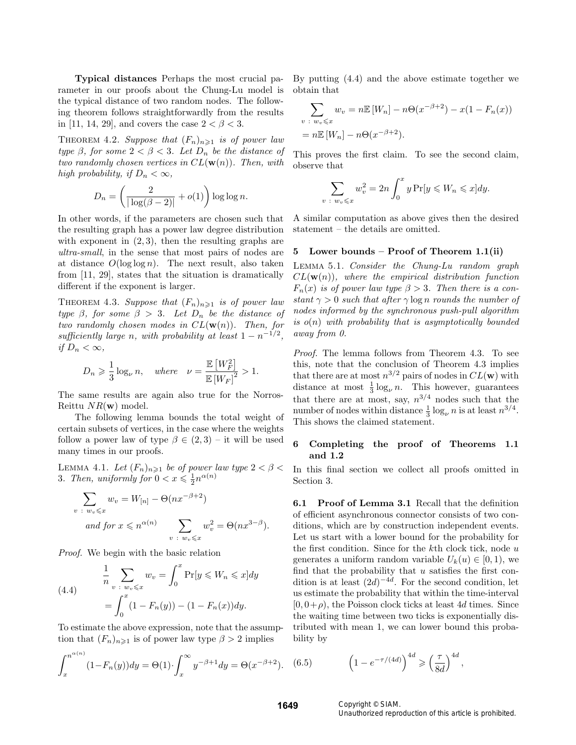Typical distances Perhaps the most crucial parameter in our proofs about the Chung-Lu model is the typical distance of two random nodes. The following theorem follows straightforwardly from the results in [11, 14, 29], and covers the case  $2 < \beta < 3$ .

THEOREM 4.2. Suppose that  $(F_n)_{n\geq 1}$  is of power law type  $\beta$ , for some  $2 < \beta < 3$ . Let  $D_n$  be the distance of two randomly chosen vertices in  $CL(\mathbf{w}(n))$ . Then, with high probability, if  $D_n < \infty$ ,

$$
D_n = \left(\frac{2}{|\log(\beta - 2)|} + o(1)\right) \log \log n.
$$

In other words, if the parameters are chosen such that the resulting graph has a power law degree distribution with exponent in  $(2, 3)$ , then the resulting graphs are ultra-small, in the sense that most pairs of nodes are at distance  $O(\log \log n)$ . The next result, also taken from [11, 29], states that the situation is dramatically different if the exponent is larger.

THEOREM 4.3. Suppose that  $(F_n)_{n\geq 1}$  is of power law type  $\beta$ , for some  $\beta > 3$ . Let  $D_n$  be the distance of two randomly chosen modes in  $CL(\mathbf{w}(n))$ . Then, for sufficiently large n, with probability at least  $1 - n^{-1/2}$ , if  $D_n < \infty$ ,

$$
D_n \ge \frac{1}{3} \log_{\nu} n
$$
, where  $\nu = \frac{\mathbb{E}[W_F^2]}{\mathbb{E}[W_F]^2} > 1$ .

The same results are again also true for the Norros-Reittu  $NR(\mathbf{w})$  model.

The following lemma bounds the total weight of certain subsets of vertices, in the case where the weights follow a power law of type  $\beta \in (2,3)$  – it will be used many times in our proofs.

LEMMA 4.1. Let  $(F_n)_{n\geqslant 1}$  be of power law type  $2 < \beta <$ 3. Then, uniformly for  $0 < x \leqslant \frac{1}{2}n^{\alpha(n)}$ 

$$
\sum_{v \; : \; w_v \leqslant x} w_v = W_{[n]} - \Theta(nx^{-\beta+2})
$$
  
and for  $x \leqslant n^{\alpha(n)}$  
$$
\sum_{v \; : \; w_v \leqslant x} w_v^2 = \Theta(nx^{3-\beta}).
$$

Proof. We begin with the basic relation

(4.4) 
$$
\frac{1}{n} \sum_{v \; : \; w_v \leq x} w_v = \int_0^x \Pr[y \leq W_n \leq x] dy
$$

$$
= \int_0^x (1 - F_n(y)) - (1 - F_n(x)) dy.
$$

To estimate the above expression, note that the assumption that  $(F_n)_{n\geq 1}$  is of power law type  $\beta > 2$  implies

$$
\int_{x}^{n^{\alpha(n)}} (1 - F_n(y)) dy = \Theta(1) \cdot \int_{x}^{\infty} y^{-\beta + 1} dy = \Theta(x^{-\beta + 2}).
$$
 (6.8)

By putting (4.4) and the above estimate together we obtain that

$$
\sum_{v \; : \; w_v \leq x} w_v = n \mathbb{E} \left[ W_n \right] - n \Theta(x^{-\beta+2}) - x(1 - F_n(x))
$$

$$
= n \mathbb{E} \left[ W_n \right] - n \Theta(x^{-\beta+2}).
$$

This proves the first claim. To see the second claim, observe that

$$
\sum_{v \; : \; w_v \leqslant x} w_v^2 = 2n \int_0^x y \Pr[y \leqslant W_n \leqslant x] dy.
$$

A similar computation as above gives then the desired statement – the details are omitted.

# 5 Lower bounds – Proof of Theorem 1.1(ii)

Lemma 5.1. Consider the Chung-Lu random graph  $CL(**w**(n))$ , where the empirical distribution function  $F_n(x)$  is of power law type  $\beta > 3$ . Then there is a constant  $\gamma > 0$  such that after  $\gamma \log n$  rounds the number of nodes informed by the synchronous push-pull algorithm is  $o(n)$  with probability that is asymptotically bounded away from 0.

Proof. The lemma follows from Theorem 4.3. To see this, note that the conclusion of Theorem 4.3 implies that there are at most  $n^{3/2}$  pairs of nodes in  $CL(w)$  with distance at most  $\frac{1}{3} \log_{\nu} n$ . This however, guarantees that there are at most, say,  $n^{3/4}$  nodes such that the number of nodes within distance  $\frac{1}{3} \log_{\nu} n$  is at least  $n^{3/4}$ . This shows the claimed statement.

## 6 Completing the proof of Theorems 1.1 and 1.2

In this final section we collect all proofs omitted in Section 3.

6.1 Proof of Lemma 3.1 Recall that the definition of efficient asynchronous connector consists of two conditions, which are by construction independent events. Let us start with a lower bound for the probability for the first condition. Since for the  $k$ th clock tick, node  $u$ generates a uniform random variable  $U_k(u) \in [0,1)$ , we find that the probability that  $u$  satisfies the first condition is at least  $(2d)^{-4d}$ . For the second condition, let us estimate the probability that within the time-interval  $[0, 0+\rho)$ , the Poisson clock ticks at least 4d times. Since the waiting time between two ticks is exponentially distributed with mean 1, we can lower bound this probability by

(6.5) 
$$
\left(1 - e^{-\tau/(4d)}\right)^{4d} \geqslant \left(\frac{\tau}{8d}\right)^{4d},
$$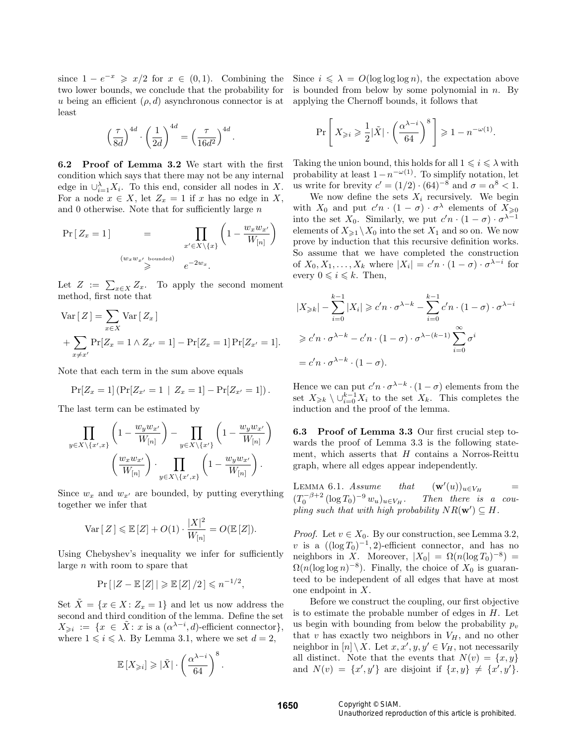since  $1 - e^{-x} \ge x/2$  for  $x \in (0,1)$ . Combining the two lower bounds, we conclude that the probability for u being an efficient  $(\rho, d)$  asynchronous connector is at least

$$
\left(\frac{\tau}{8d}\right)^{4d} \cdot \left(\frac{1}{2d}\right)^{4d} = \left(\frac{\tau}{16d^2}\right)^{4d}.
$$

6.2 Proof of Lemma 3.2 We start with the first condition which says that there may not be any internal edge in  $\cup_{i=1}^{\lambda} X_i$ . To this end, consider all nodes in X. For a node  $x \in X$ , let  $Z_x = 1$  if x has no edge in X, and 0 otherwise. Note that for sufficiently large  $n$ 

$$
\Pr\left[Z_x = 1\right] = \prod_{\substack{x' \in X \setminus \{x\} \\ w_x w_{x'} \text{ bounded}}} \left(1 - \frac{w_x w_{x'}}{W_{[n]}}\right)
$$
\n
$$
\stackrel{(w_x w_{x'}) \text{ bounded}}{\geqslant} e^{-2w_x}.
$$

Let  $Z := \sum_{x \in X} Z_x$ . To apply the second moment method, first note that

Var [Z] = 
$$
\sum_{x \in X}
$$
 Var [Z<sub>x</sub>]  
+  $\sum_{x \neq x'}$  Pr[Z<sub>x</sub> = 1  $\wedge$  Z<sub>x'</sub> = 1] - Pr[Z<sub>x</sub> = 1] Pr[Z<sub>x'</sub> = 1].

Note that each term in the sum above equals

$$
Pr[Z_x = 1] (Pr[Z_{x'} = 1 | Z_x = 1] - Pr[Z_{x'} = 1]).
$$

The last term can be estimated by

$$
\prod_{y \in X \setminus \{x',x\}} \left(1 - \frac{w_y w_{x'}}{W_{[n]}}\right) - \prod_{y \in X \setminus \{x'\}} \left(1 - \frac{w_y w_{x'}}{W_{[n]}}\right)
$$

$$
\left(\frac{w_x w_{x'}}{W_{[n]}}\right) \cdot \prod_{y \in X \setminus \{x',x\}} \left(1 - \frac{w_y w_{x'}}{W_{[n]}}\right).
$$

Since  $w_x$  and  $w_{x'}$  are bounded, by putting everything together we infer that

$$
\text{Var}\left[Z\right] \leqslant \mathbb{E}\left[Z\right] + O(1) \cdot \frac{|X|^2}{W_{[n]}} = O(\mathbb{E}\left[Z\right]).
$$

Using Chebyshev's inequality we infer for sufficiently large  $n$  with room to spare that

$$
\Pr\left[\left|Z - \mathbb{E}\left[Z\right]\right|\geqslant \mathbb{E}\left[Z\right]/2\right] \leqslant n^{-1/2},
$$

Set  $\tilde{X} = \{x \in X : Z_x = 1\}$  and let us now address the second and third condition of the lemma. Define the set  $X_{\geqslant i} := \{x \in \tilde{X} : x \text{ is a } (\alpha^{\lambda - i}, d) \text{-efficient connector}\},\$ where  $1 \leq i \leq \lambda$ . By Lemma 3.1, where we set  $d = 2$ ,

$$
\mathbb{E}\left[X_{\geqslant i}\right] \geqslant \left|\tilde{X}\right| \cdot \left(\frac{\alpha^{\lambda - i}}{64}\right)^8.
$$

Since  $i \leq \lambda = O(\log \log \log n)$ , the expectation above is bounded from below by some polynomial in  $n$ . By applying the Chernoff bounds, it follows that

$$
\Pr\left[X_{\geqslant i}\geqslant \frac{1}{2}\big|\tilde{X}\big|\cdot \left(\frac{\alpha^{\lambda-i}}{64}\right)^8\right]\geqslant 1-n^{-\omega(1)}.
$$

Taking the union bound, this holds for all  $1 \leq i \leq \lambda$  with probability at least  $1-n^{-\omega(1)}$ . To simplify notation, let us write for brevity  $c' = (1/2) \cdot (64)^{-8}$  and  $\sigma = \alpha^8 < 1$ .

We now define the sets  $X_i$  recursively. We begin with  $X_0$  and put  $c'n \cdot (1 - \sigma) \cdot \sigma^{\lambda}$  elements of  $X_{\geqslant 0}$ into the set  $X_0$ . Similarly, we put  $c'n \cdot (1 - \sigma) \cdot \sigma^{\lambda - 1}$ elements of  $X_{\geq 1} \backslash X_0$  into the set  $X_1$  and so on. We now prove by induction that this recursive definition works. So assume that we have completed the construction of  $X_0, X_1, \ldots, X_k$  where  $|X_i| = c'n \cdot (1 - \sigma) \cdot \sigma^{\lambda - i}$  for every  $0 \leq i \leq k$ . Then,

$$
|X_{\geq k}| - \sum_{i=0}^{k-1} |X_i| \geq c'n \cdot \sigma^{\lambda - k} - \sum_{i=0}^{k-1} c'n \cdot (1 - \sigma) \cdot \sigma^{\lambda - i}
$$
  

$$
\geq c'n \cdot \sigma^{\lambda - k} - c'n \cdot (1 - \sigma) \cdot \sigma^{\lambda - (k-1)} \sum_{i=0}^{\infty} \sigma^i
$$
  

$$
= c'n \cdot \sigma^{\lambda - k} \cdot (1 - \sigma).
$$

Hence we can put  $c'n \cdot \sigma^{\lambda-k} \cdot (1-\sigma)$  elements from the set  $X_{\geq k} \setminus \cup_{i=0}^{k-1} X_i$  to the set  $X_k$ . This completes the induction and the proof of the lemma.

6.3 Proof of Lemma 3.3 Our first crucial step towards the proof of Lemma 3.3 is the following statement, which asserts that  $H$  contains a Norros-Reittu graph, where all edges appear independently.

LEMMA  $6.1. Assume that$  $(\mathbf{w}'(u))_{u\in V_H}$  $(T_0^{-\beta+2} (\log T_0))$  $Then there is a cou$ pling such that with high probability  $NR(\mathbf{w}') \subseteq H$ .

*Proof.* Let  $v \in X_0$ . By our construction, see Lemma 3.2, v is a  $((\log T_0)^{-1}, 2)$ -efficient connector, and has no neighbors in X. Moreover,  $|X_0| = \Omega(n(\log T_0)^{-8}) =$  $\Omega(n(\log \log n)^{-8})$ . Finally, the choice of  $X_0$  is guaranteed to be independent of all edges that have at most one endpoint in X.

Before we construct the coupling, our first objective is to estimate the probable number of edges in  $H$ . Let us begin with bounding from below the probability  $p_v$ that v has exactly two neighbors in  $V_H$ , and no other neighbor in  $[n] \setminus X$ . Let  $x, x', y, y' \in V_H$ , not necessarily all distinct. Note that the events that  $N(v) = \{x, y\}$ and  $N(v) = \{x', y'\}$  are disjoint if  $\{x, y\} \neq \{x', y'\}.$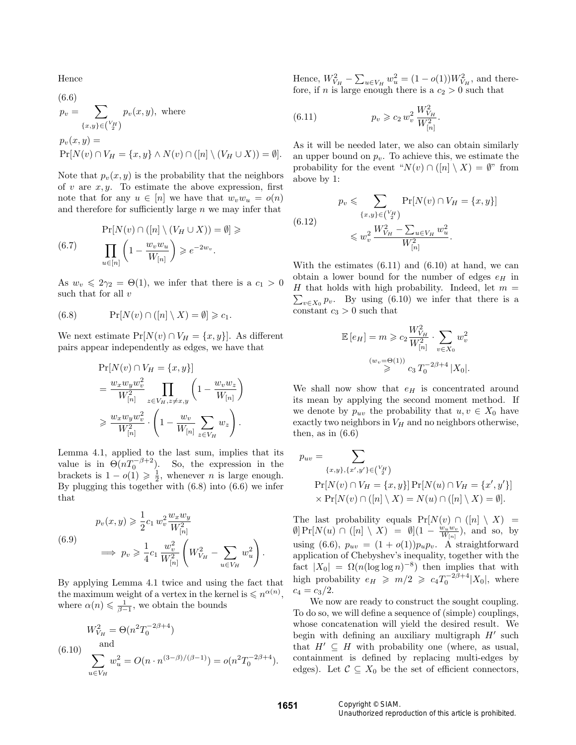Hence  $\sqrt{6}$ 

(6.6)  
\n
$$
p_v = \sum_{\{x,y\} \in {V_H \choose 2}} p_v(x, y), \text{ where}
$$
\n
$$
p_v(x, y) =
$$
\n
$$
\Pr[N(v) \cap V_H = \{x, y\} \land N(v) \cap ([n] \setminus (V_H \cup X)) = \emptyset].
$$

Note that  $p_v(x, y)$  is the probability that the neighbors of v are  $x, y$ . To estimate the above expression, first note that for any  $u \in [n]$  we have that  $w_v w_u = o(n)$ and therefore for sufficiently large  $n$  we may infer that

$$
\Pr[N(v) \cap ([n] \setminus (V_H \cup X)) = \emptyset] \geq 0
$$
\n
$$
\prod_{u \in [n]} \left(1 - \frac{w_v w_u}{W_{[n]}}\right) \geq e^{-2w_v}.
$$

As  $w_v \leq 2\gamma_2 = \Theta(1)$ , we infer that there is a  $c_1 > 0$ such that for all  $v$ 

(6.8) 
$$
\Pr[N(v) \cap ([n] \setminus X) = \emptyset] \geq c_1.
$$

We next estimate  $Pr[N(v) \cap V_H = \{x, y\}]$ . As different pairs appear independently as edges, we have that

$$
\Pr[N(v) \cap V_H = \{x, y\}]
$$
  
= 
$$
\frac{w_x w_y w_v^2}{W_{[n]}^2} \prod_{z \in V_H, z \neq x, y} \left(1 - \frac{w_v w_z}{W_{[n]}}\right)
$$
  

$$
\geq \frac{w_x w_y w_v^2}{W_{[n]}^2} \cdot \left(1 - \frac{w_v}{W_{[n]}} \sum_{z \in V_H} w_z\right).
$$

Lemma 4.1, applied to the last sum, implies that its value is in  $\Theta(nT_0^{-\beta+2})$ . So, the expression in the brackets is  $1 - o(1) \geq \frac{1}{2}$ , whenever *n* is large enough. By plugging this together with (6.8) into (6.6) we infer that

(6.9) 
$$
p_v(x, y) \ge \frac{1}{2} c_1 w_v^2 \frac{w_x w_y}{W_{[n]}^2}
$$

$$
\implies p_v \ge \frac{1}{4} c_1 \frac{w_v^2}{W_{[n]}^2} \left( W_{V_H}^2 - \sum_{u \in V_H} w_u^2 \right).
$$

By applying Lemma 4.1 twice and using the fact that the maximum weight of a vertex in the kernel is  $\leqslant n^{\alpha(n)}$ , where  $\alpha(n) \leqslant \frac{1}{\beta-1}$ , we obtain the bounds

$$
W_{V_H}^2 = \Theta(n^2 T_0^{-2\beta + 4})
$$
  
(6.10) and  

$$
\sum_{u \in V_H} w_u^2 = O(n \cdot n^{(3-\beta)/(\beta - 1)}) = o(n^2 T_0^{-2\beta + 4}).
$$

Hence,  $W_{V_H}^2 - \sum_{u \in V_H} w_u^2 = (1 - o(1))W_{V_H}^2$ , and therefore, if n is large enough there is a  $c_2 > 0$  such that

(6.11) 
$$
p_v \geqslant c_2 w_v^2 \frac{W_{V_H}^2}{W_{[n]}^2}.
$$

As it will be needed later, we also can obtain similarly an upper bound on  $p_v$ . To achieve this, we estimate the probability for the event " $N(v) \cap (n \mid \ X) = \emptyset$ " from above by 1:

$$
p_v \leq \sum_{\{x,y\} \in \binom{V_H}{2}} \Pr[N(v) \cap V_H = \{x,y\}]
$$
  
(6.12)  

$$
\leq w_v^2 \frac{W_{V_H}^2 - \sum_{u \in V_H} w_u^2}{W_{[n]}^2}.
$$

With the estimates  $(6.11)$  and  $(6.10)$  at hand, we can obtain a lower bound for the number of edges  $e_H$  in H that holds with high probability. Indeed, let  $m =$  $\sum_{v \in X_0} p_v$ . By using (6.10) we infer that there is a constant  $c_3 > 0$  such that

$$
\mathbb{E}\left[e_H\right] = m \geqslant c_2 \frac{W_{V_H}^2}{W_{[n]}^2} \cdot \sum_{v \in X_0} w_v^2
$$
\n
$$
\stackrel{(w_v = \Theta(1))}{\geqslant} c_3 T_0^{-2\beta + 4} |X_0|.
$$

We shall now show that  $e_H$  is concentrated around its mean by applying the second moment method. If we denote by  $p_{uv}$  the probability that  $u, v \in X_0$  have exactly two neighbors in  $V_H$  and no neighbors otherwise, then, as in  $(6.6)$ 

$$
p_{uv} = \sum_{\{x,y\},\{x',y'\} \in \binom{V_H}{2}}
$$
  
\n
$$
\Pr[N(v) \cap V_H = \{x,y\}] \Pr[N(u) \cap V_H = \{x',y'\}]
$$
  
\n
$$
\times \Pr[N(v) \cap ([n] \setminus X) = N(u) \cap ([n] \setminus X) = \emptyset].
$$

The last probability equals  $Pr[N(v) \cap ([n] \setminus X)] =$  $\emptyset$  Pr[ $N(u) \cap ([n] \setminus X) = \emptyset$ ] $(1 - \frac{w_u w_v}{W_{[n]}})$ , and so, by using (6.6),  $p_{uv} = (1 + o(1))p_{u}p_{v}$ . A straightforward application of Chebyshev's inequality, together with the fact  $|X_0| = \Omega(n(\log \log n)^{-8})$  then implies that with high probability  $e_H \geq m/2 \geq c_4 T_0^{-2\beta+4} |X_0|$ , where  $c_4 = c_3/2.$ 

We now are ready to construct the sought coupling. To do so, we will define a sequence of (simple) couplings, whose concatenation will yield the desired result. We begin with defining an auxiliary multigraph  $H'$  such that  $H' \subseteq H$  with probability one (where, as usual, containment is defined by replacing multi-edges by edges). Let  $C \subseteq X_0$  be the set of efficient connectors,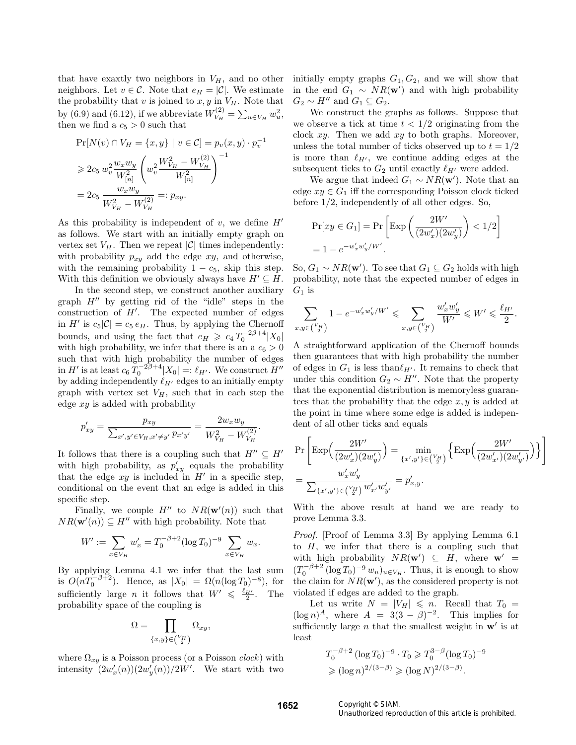that have exactly two neighbors in  $V_H$ , and no other neighbors. Let  $v \in \mathcal{C}$ . Note that  $e_H = |\mathcal{C}|$ . We estimate the probability that v is joined to  $x, y$  in  $V_H$ . Note that by (6.9) and (6.12), if we abbreviate  $W_{V_H}^{(2)}$  $V_H^{(2)} = \sum_{u \in V_H} w_u^2,$ then we find a  $c_5 > 0$  such that

$$
\Pr[N(v) \cap V_H = \{x, y\} \mid v \in C] = p_v(x, y) \cdot p_v^{-1}
$$
  
\n
$$
\ge 2c_5 w_v^2 \frac{w_x w_y}{W_{[n]}^2} \left(w_v^2 \frac{W_{V_H}^2 - W_{V_H}^{(2)}}{W_{[n]}^2}\right)^{-1}
$$
  
\n
$$
= 2c_5 \frac{w_x w_y}{W_{V_H}^2 - W_{V_H}^{(2)}} =: p_{xy}.
$$

As this probability is independent of  $v$ , we define  $H'$ as follows. We start with an initially empty graph on vertex set  $V_H$ . Then we repeat  $|\mathcal{C}|$  times independently: with probability  $p_{xy}$  add the edge  $xy$ , and otherwise, with the remaining probability  $1 - c_5$ , skip this step. With this definition we obviously always have  $H' \subseteq H$ .

In the second step, we construct another auxiliary graph  $H''$  by getting rid of the "idle" steps in the construction of  $H'$ . The expected number of edges in H' is  $c_5|\mathcal{C}| = c_5 e_H$ . Thus, by applying the Chernoff bounds, and using the fact that  $e_H \geqslant c_4 T_0^{-2\beta+4} |X_0|$ with high probability, we infer that there is an a  $c_6 > 0$ such that with high probability the number of edges in  $H'$  is at least  $c_6 T_0^{-2\beta+4} |X_0| =: \ell_{H'}$ . We construct  $H''$ by adding independently  $\ell_{H'}$  edges to an initially empty graph with vertex set  $V_H$ , such that in each step the edge  $xy$  is added with probability

$$
p'_{xy} = \frac{p_{xy}}{\sum_{x',y' \in V_H, x' \neq y'} p_{x'y'}} = \frac{2w_x w_y}{W_{V_H}^2 - W_{V_H}^{(2)}}.
$$

It follows that there is a coupling such that  $H'' \subseteq H'$ with high probability, as  $p'_{xy}$  equals the probability that the edge  $xy$  is included in  $H'$  in a specific step, conditional on the event that an edge is added in this specific step.

Finally, we couple  $H''$  to  $NR(\mathbf{w}'(n))$  such that  $NR(\mathbf{w}'(n)) \subseteq H''$  with high probability. Note that

$$
W' := \sum_{x \in V_H} w'_x = T_0^{-\beta + 2} (\log T_0)^{-9} \sum_{x \in V_H} w_x.
$$

By applying Lemma 4.1 we infer that the last sum is  $O(nT_0^{-\beta+2})$ . Hence, as  $|X_0| = \Omega(n(\log T_0)^{-8})$ , for sufficiently large *n* it follows that  $W' \leq \frac{\ell_{H'}}{2}$ . The probability space of the coupling is

$$
\Omega = \prod_{\{x,y\} \in \binom{V_H}{2}} \Omega_{xy},
$$

where  $\Omega_{xy}$  is a Poisson process (or a Poisson *clock*) with intensity  $(2w'_x(n))(2w'_y(n))/2W'$ . We start with two

initially empty graphs  $G_1, G_2$ , and we will show that in the end  $G_1 \sim NR(\mathbf{w}')$  and with high probability  $G_2 \sim H''$  and  $G_1 \subseteq G_2$ .

We construct the graphs as follows. Suppose that we observe a tick at time  $t < 1/2$  originating from the clock  $xy$ . Then we add  $xy$  to both graphs. Moreover, unless the total number of ticks observed up to  $t = 1/2$ is more than  $\ell_{H'}$ , we continue adding edges at the subsequent ticks to  $G_2$  until exactly  $\ell_{H'}$  were added.

We argue that indeed  $G_1 \sim NR(\mathbf{w}')$ . Note that an edge  $xy \in G_1$  iff the corresponding Poisson clock ticked before 1/2, independently of all other edges. So,

$$
\Pr[xy \in G_1] = \Pr\left[\text{Exp}\left(\frac{2W'}{(2w'_x)(2w'_y)}\right) < 1/2\right]
$$
\n
$$
= 1 - e^{-w'_x w'_y / W'}.
$$

So,  $G_1 \sim NR(\mathbf{w}')$ . To see that  $G_1 \subseteq G_2$  holds with high probability, note that the expected number of edges in  $G_1$  is

$$
\sum_{x,y \in {V_H \choose 2}} 1 - e^{-w'_x w'_y / W'} \leq \sum_{x,y \in {V_H \choose 2}} \frac{w'_x w'_y}{W'} \leqslant W' \leqslant \frac{\ell_{H'}}{2}.
$$

A straightforward application of the Chernoff bounds then guarantees that with high probability the number of edges in  $G_1$  is less than  $\ell_{H'}$ . It remains to check that under this condition  $G_2 \sim H''$ . Note that the property that the exponential distribution is memoryless guarantees that the probability that the edge  $x, y$  is added at the point in time where some edge is added is independent of all other ticks and equals

$$
\begin{split} &\Pr\left[\text{Exp}\Big(\frac{2W'}{(2w'_x)(2w'_y)}\Big) = \min_{\{x',y'\} \in \binom{V_H}{2}} \Big\{ \text{Exp}\Big(\frac{2W'}{(2w'_{x'})(2w'_{y'})}\Big) \Big\} \right] \\ &= \frac{w'_x w'_y}{\sum_{\{x',y'\} \in \binom{V_H}{2}} w'_{x'} w'_{y'}} = p'_{x,y}. \end{split}
$$

With the above result at hand we are ready to prove Lemma 3.3.

Proof. [Proof of Lemma 3.3] By applying Lemma 6.1 to  $H$ , we infer that there is a coupling such that with high probability  $NR(\mathbf{w}') \subseteq H$ , where  $\mathbf{w}' =$  $(T_0^{-\beta+2} (\log T_0)^{-9} w_u)_{u \in V_H}$ . Thus, it is enough to show the claim for  $NR(\mathbf{w}')$ , as the considered property is not violated if edges are added to the graph.

Let us write  $N = |V_H| \leq n$ . Recall that  $T_0 =$  $(\log n)^A$ , where  $A = 3(3 - \beta)^{-2}$ . This implies for sufficiently large  $n$  that the smallest weight in  $w'$  is at least

$$
T_0^{-\beta+2} (\log T_0)^{-9} \cdot T_0 \ge T_0^{3-\beta} (\log T_0)^{-9}
$$
  
\n
$$
\ge (\log n)^{2/(3-\beta)} \ge (\log N)^{2/(3-\beta)}.
$$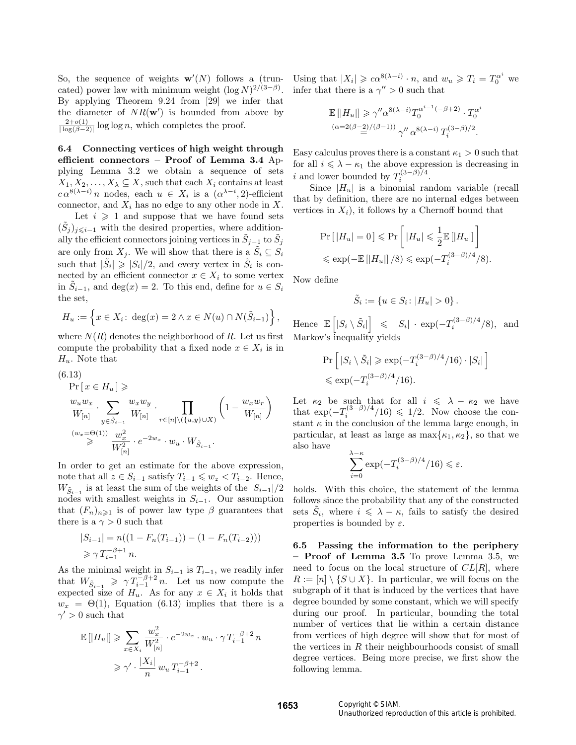So, the sequence of weights  $\mathbf{w}'(N)$  follows a (truncated) power law with minimum weight  $(\log N)^{2/(3-\beta)}$ . By applying Theorem 9.24 from [29] we infer that the diameter of  $NR(w')$  is bounded from above by  $2+o(1)$  $\frac{2+o(1)}{\log(\beta-2)}$  log log n, which completes the proof.

6.4 Connecting vertices of high weight through efficient connectors – Proof of Lemma 3.4 Applying Lemma 3.2 we obtain a sequence of sets  $X_1, X_2, \ldots, X_{\lambda} \subseteq X$ , such that each  $X_i$  contains at least  $c \alpha^{8(\lambda - i)} n$  nodes, each  $u \in X_i$  is a  $(\alpha^{\lambda - i}, 2)$ -efficient connector, and  $X_i$  has no edge to any other node in X. Let  $i \geqslant 1$  and suppose that we have found sets  $(\tilde{S}_j)_{j\leq i-1}$  with the desired properties, where additionally the efficient connectors joining vertices in  $\tilde{S}_{j-1}$  to  $\tilde{S}_j$ are only from  $X_j$ . We will show that there is a  $\tilde{S}_i \subseteq S_i$ such that  $|\tilde{S}_i| \geq |S_i|/2$ , and every vertex in  $\tilde{S}_i$  is connected by an efficient connector  $x \in X_i$  to some vertex in  $\tilde{S}_{i-1}$ , and  $\deg(x) = 2$ . To this end, define for  $u \in S_i$ the set,

$$
H_u := \left\{ x \in X_i : \deg(x) = 2 \land x \in N(u) \cap N(\tilde{S}_{i-1}) \right\},\,
$$

where  $N(R)$  denotes the neighborhood of R. Let us first compute the probability that a fixed node  $x \in X_i$  is in  $H_u$ . Note that

(6.13)  
\n
$$
\Pr[x \in H_u] \geq \frac{w_u w_x}{W_{[n]}} \cdot \sum_{y \in \tilde{S}_{i-1}} \frac{w_x w_y}{W_{[n]}} \cdot \prod_{r \in [n] \setminus (\{u, y\} \cup X)} \left(1 - \frac{w_x w_r}{W_{[n]}}\right)
$$
\n
$$
\stackrel{(w_x = \Theta(1))}{\geq} \frac{w_x^2}{W_{[n]}^2} \cdot e^{-2w_x} \cdot w_u \cdot W_{\tilde{S}_{i-1}}.
$$

In order to get an estimate for the above expression, note that all  $z \in S_{i-1}$  satisfy  $T_{i-1} \leqslant w_z < T_{i-2}$ . Hence,  $W_{\tilde{S}_{i-1}}$  is at least the sum of the weights of the  $|S_{i-1}|/2$ nodes with smallest weights in  $S_{i-1}$ . Our assumption that  $(F_n)_{n\geq 1}$  is of power law type  $\beta$  guarantees that there is a  $\gamma > 0$  such that

$$
|S_{i-1}| = n((1 - F_n(T_{i-1})) - (1 - F_n(T_{i-2})))
$$
  
\n
$$
\geq \gamma T_{i-1}^{-\beta + 1} n.
$$

As the minimal weight in  $S_{i-1}$  is  $T_{i-1}$ , we readily infer that  $W_{\tilde{S}_{i-1}} \geq \gamma T_{i-1}^{-\beta+2} n$ . Let us now compute the expected size of  $H_u$ . As for any  $x \in X_i$  it holds that  $w_x = \Theta(1)$ , Equation (6.13) implies that there is a  $\gamma' > 0$  such that

$$
\mathbb{E} [ |H_u|] \geqslant \sum_{x \in X_i} \frac{w_x^2}{W_{[n]}^2} \cdot e^{-2w_x} \cdot w_u \cdot \gamma T_{i-1}^{-\beta+2} n
$$
  

$$
\geqslant \gamma' \cdot \frac{|X_i|}{n} w_u T_{i-1}^{-\beta+2}.
$$

Using that  $|X_i| \geqslant c\alpha^{8(\lambda - i)} \cdot n$ , and  $w_u \geqslant T_i = T_0^{\alpha^i}$  we infer that there is a  $\gamma'' > 0$  such that

$$
\mathbb{E} \left[ |H_u| \right] \geqslant \gamma'' \alpha^{8(\lambda - i)} T_0^{\alpha^{i-1}(-\beta + 2)} \cdot T_0^{\alpha^i}
$$

$$
\alpha = 2(\beta - 2)/(\beta - 1)) \gamma'' \alpha^{8(\lambda - i)} T_i^{(3 - \beta)/2}.
$$

Easy calculus proves there is a constant  $\kappa_1 > 0$  such that for all  $i \leq \lambda - \kappa_1$  the above expression is decreasing in i and lower bounded by  $T_i^{(3-\beta)/4}$ .

Since  $|H_u|$  is a binomial random variable (recall that by definition, there are no internal edges between vertices in  $X_i$ ), it follows by a Chernoff bound that

$$
\Pr\left[\left|H_u\right|=0\right] \leqslant \Pr\left[\left|H_u\right| \leqslant \frac{1}{2} \mathbb{E}\left[\left|H_u\right|\right]\right]
$$
  

$$
\leqslant \exp(-\mathbb{E}\left[\left|H_u\right|\right]/8) \leqslant \exp(-T_i^{(3-\beta)/4}/8).
$$

Now define

$$
\tilde S_i:=\left\{u\in S_i\colon |H_u|>0\right\}.
$$

Hence  $\mathbb{E}\left[|S_i \setminus \tilde{S}_i|\right] \leq |S_i| \cdot \exp(-T_i^{(3-\beta)/4}/8)$ , and Markov's inequality yields

$$
\Pr\left[ |S_i \setminus \tilde{S}_i| \ge \exp(-T_i^{(3-\beta)/4}/16) \cdot |S_i| \right]
$$
  
\$\le \exp(-T\_i^{(3-\beta)/4}/16).

Let  $\kappa_2$  be such that for all  $i \leq \lambda - \kappa_2$  we have that  $\exp(-T_i^{(3-\beta)/4}/16) \leq 1/2$ . Now choose the constant  $\kappa$  in the conclusion of the lemma large enough, in particular, at least as large as  $\max\{\kappa_1, \kappa_2\}$ , so that we also have

$$
\sum_{i=0}^{\lambda-\kappa} \exp(-T_i^{(3-\beta)/4}/16) \leq \varepsilon.
$$

holds. With this choice, the statement of the lemma follows since the probability that any of the constructed sets  $\tilde{S}_i$ , where  $i \leq \lambda - \kappa$ , fails to satisfy the desired properties is bounded by  $\varepsilon$ .

6.5 Passing the information to the periphery – Proof of Lemma 3.5 To prove Lemma 3.5, we need to focus on the local structure of  $CL[R]$ , where  $R := [n] \setminus \{S \cup X\}.$  In particular, we will focus on the subgraph of it that is induced by the vertices that have degree bounded by some constant, which we will specify during our proof. In particular, bounding the total number of vertices that lie within a certain distance from vertices of high degree will show that for most of the vertices in  $R$  their neighbourhoods consist of small degree vertices. Being more precise, we first show the following lemma.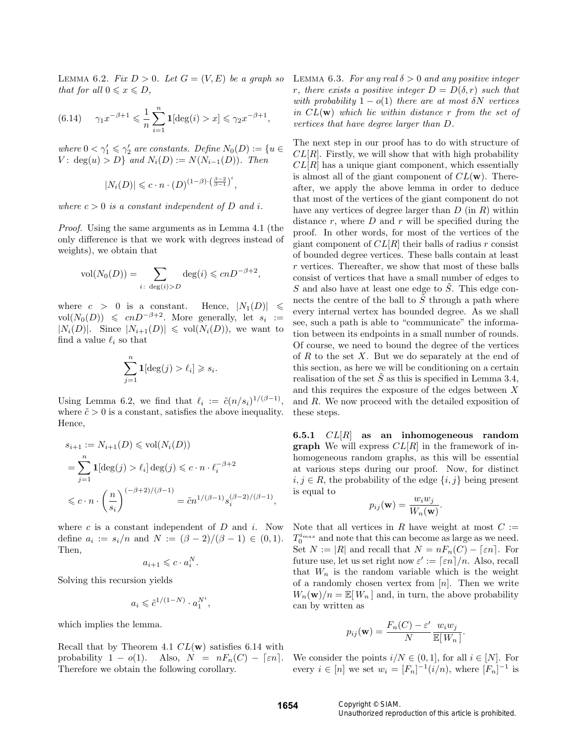LEMMA 6.2. Fix  $D > 0$ . Let  $G = (V, E)$  be a graph so that for all  $0 \leqslant x \leqslant D$ ,

(6.14) 
$$
\gamma_1 x^{-\beta+1} \leq \frac{1}{n} \sum_{i=1}^n \mathbf{1}[\deg(i) > x] \leq \gamma_2 x^{-\beta+1},
$$

where  $0 < \gamma_1' \leq \gamma_2'$  are constants. Define  $N_0(D) := \{u \in$ *V*: deg(*u*) > *D*} and  $N_i(D) := N(N_{i-1}(D))$ . Then

$$
|N_i(D)| \leqslant c \cdot n \cdot (D)^{(1-\beta)\cdot \left(\frac{\beta-2}{\beta-1}\right)^i}
$$

,

,

where  $c > 0$  is a constant independent of D and i.

Proof. Using the same arguments as in Lemma 4.1 (the only difference is that we work with degrees instead of weights), we obtain that

$$
vol(N_0(D)) = \sum_{i \colon \deg(i) > D} deg(i) \leqslant cnD^{-\beta+2}
$$

where  $c > 0$  is a constant. Hence,  $|N_1(D)| \leq$ vol $(N_0(D)) \leqslant cnD^{-\beta+2}$ . More generally, let  $s_i :=$  $|N_i(D)|$ . Since  $|N_{i+1}(D)| \leq \text{vol}(N_i(D))$ , we want to find a value  $\ell_i$  so that

$$
\sum_{j=1}^{n} \mathbf{1}[\deg(j) > \ell_i] \geqslant s_i
$$

.

Using Lemma 6.2, we find that  $\ell_i := \tilde{c}(n/s_i)^{1/(\beta-1)},$ where  $\tilde{c} > 0$  is a constant, satisfies the above inequality. Hence,

$$
s_{i+1} := N_{i+1}(D) \le \text{vol}(N_i(D))
$$
  
= 
$$
\sum_{j=1}^n \mathbf{1}[\deg(j) > \ell_i] \deg(j) \le c \cdot n \cdot \ell_i^{-\beta+2}
$$
  

$$
\le c \cdot n \cdot \left(\frac{n}{s_i}\right)^{(-\beta+2)/(\beta-1)} = \tilde{c}n^{1/(\beta-1)} s_i^{(\beta-2)/(\beta-1)},
$$

where  $c$  is a constant independent of  $D$  and  $i$ . Now define  $a_i := s_i/n$  and  $N := (\beta - 2)/(\beta - 1) \in (0, 1)$ . Then,

$$
a_{i+1} \leqslant c \cdot a_i^N.
$$

Solving this recursion yields

$$
a_i\leqslant \tilde{c}^{1/(1-N)}\cdot a_1^{N^i},
$$

which implies the lemma.

Recall that by Theorem 4.1  $CL(w)$  satisfies 6.14 with probability  $1 - o(1)$ . Also,  $N = nF_n(C) - \lceil \varepsilon n \rceil$ . Therefore we obtain the following corollary.

LEMMA 6.3. For any real  $\delta > 0$  and any positive integer r, there exists a positive integer  $D = D(\delta, r)$  such that with probability  $1 - o(1)$  there are at most  $\delta N$  vertices in  $CL(w)$  which lie within distance r from the set of vertices that have degree larger than D.

The next step in our proof has to do with structure of  $CL[R]$ . Firstly, we will show that with high probability  $CL[R]$  has a unique giant component, which essentially is almost all of the giant component of  $CL(w)$ . Thereafter, we apply the above lemma in order to deduce that most of the vertices of the giant component do not have any vertices of degree larger than  $D$  (in  $R$ ) within distance  $r$ , where  $D$  and  $r$  will be specified during the proof. In other words, for most of the vertices of the giant component of  $CL[R]$  their balls of radius r consist of bounded degree vertices. These balls contain at least r vertices. Thereafter, we show that most of these balls consist of vertices that have a small number of edges to S and also have at least one edge to  $\tilde{S}$ . This edge connects the centre of the ball to  $S$  through a path where every internal vertex has bounded degree. As we shall see, such a path is able to "communicate" the information between its endpoints in a small number of rounds. Of course, we need to bound the degree of the vertices of  $R$  to the set  $X$ . But we do separately at the end of this section, as here we will be conditioning on a certain realisation of the set  $\tilde{S}$  as this is specified in Lemma 3.4, and this requires the exposure of the edges between X and  $R$ . We now proceed with the detailed exposition of these steps.

6.5.1  $CL[R]$  as an inhomogeneous random **graph** We will express  $CL[R]$  in the framework of inhomogeneous random graphs, as this will be essential at various steps during our proof. Now, for distinct  $i, j \in R$ , the probability of the edge  $\{i, j\}$  being present is equal to

$$
p_{ij}(\mathbf{w}) = \frac{w_i w_j}{W_n(\mathbf{w})}.
$$

Note that all vertices in R have weight at most  $C :=$  $T_0^{i_{max}}$  and note that this can become as large as we need. Set  $N := |R|$  and recall that  $N = nF_n(C) - \lceil \varepsilon n \rceil$ . For future use, let us set right now  $\varepsilon' := \lceil \varepsilon n \rceil/n$ . Also, recall that  $W_n$  is the random variable which is the weight of a randomly chosen vertex from  $[n]$ . Then we write  $W_n(\mathbf{w})/n = \mathbb{E}[W_n]$  and, in turn, the above probability can by written as

$$
p_{ij}(\mathbf{w}) = \frac{F_n(C) - \varepsilon'}{N} \frac{w_i w_j}{\mathbb{E}[W_n]}.
$$

We consider the points  $i/N \in (0, 1]$ , for all  $i \in [N]$ . For every  $i \in [n]$  we set  $w_i = [F_n]^{-1}(i/n)$ , where  $[F_n]^{-1}$  is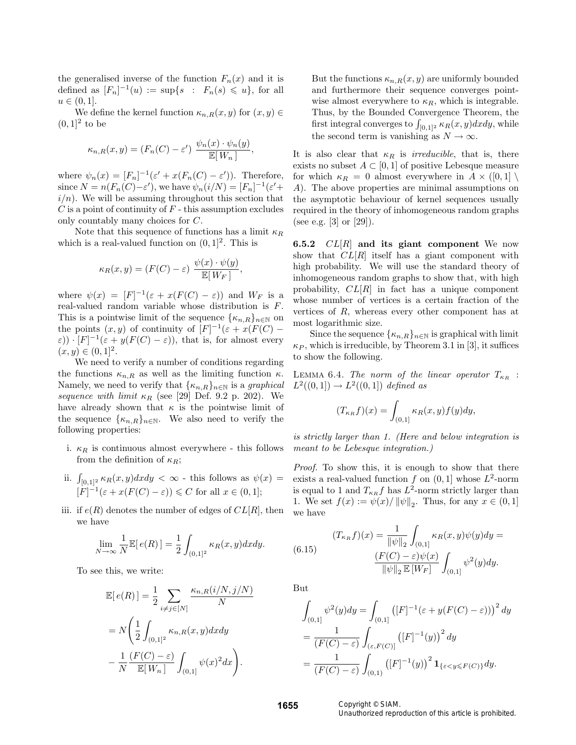the generalised inverse of the function  $F_n(x)$  and it is defined as  $[F_n]^{-1}(u) := \sup\{s : F_n(s) \leq u\}$ , for all  $u \in (0, 1].$ 

We define the kernel function  $\kappa_{n,R}(x, y)$  for  $(x, y) \in$  $(0,1]^2$  to be

$$
\kappa_{n,R}(x,y) = (F_n(C) - \varepsilon') \frac{\psi_n(x) \cdot \psi_n(y)}{\mathbb{E}[W_n]},
$$

where  $\psi_n(x) = [F_n]^{-1}(\varepsilon' + x(F_n(C) - \varepsilon'))$ . Therefore, since  $N = n(F_n(C) - \varepsilon')$ , we have  $\psi_n(i/N) = [F_n]^{-1}(\varepsilon' +$  $i/n$ . We will be assuming throughout this section that  $C$  is a point of continuity of  $F$  - this assumption excludes only countably many choices for C.

Note that this sequence of functions has a limit  $\kappa_R$ which is a real-valued function on  $(0, 1]^2$ . This is

$$
\kappa_R(x, y) = (F(C) - \varepsilon) \frac{\psi(x) \cdot \psi(y)}{\mathbb{E}[W_F]},
$$

where  $\psi(x) = [F]^{-1}(\varepsilon + x(F(C) - \varepsilon))$  and  $W_F$  is a real-valued random variable whose distribution is F. This is a pointwise limit of the sequence  $\{\kappa_{n,R}\}_{n\in\mathbb{N}}$  on the points  $(x, y)$  of continuity of  $[F]^{-1}(\varepsilon + x(F(C)) (\varepsilon)$ ) ·  $[F]^{-1}(\varepsilon + y(F(C) - \varepsilon))$ , that is, for almost every  $(x, y) \in (0, 1]^2.$ 

We need to verify a number of conditions regarding the functions  $\kappa_{n,R}$  as well as the limiting function  $\kappa$ . Namely, we need to verify that  $\{\kappa_{n,R}\}_{n\in\mathbb{N}}$  is a graphical sequence with limit  $\kappa_R$  (see [29] Def. 9.2 p. 202). We have already shown that  $\kappa$  is the pointwise limit of the sequence  $\{\kappa_{n,R}\}_{n\in\mathbb{N}}$ . We also need to verify the following properties:

- i.  $\kappa_R$  is continuous almost everywhere this follows from the definition of  $\kappa_R$ ;
- ii.  $\int_{[0,1]^2} \kappa_R(x, y) dx dy < \infty$  this follows as  $\psi(x) =$  $\left| F \right|^{-1} (\varepsilon + x(F(C) - \varepsilon)) \leq C$  for all  $x \in (0, 1];$
- iii. if  $e(R)$  denotes the number of edges of  $CL[R]$ , then we have

$$
\lim_{N \to \infty} \frac{1}{N} \mathbb{E}[e(R)] = \frac{1}{2} \int_{(0,1]^2} \kappa_R(x,y) dx dy.
$$

To see this, we write:

$$
\mathbb{E}[e(R)] = \frac{1}{2} \sum_{i \neq j \in [N]} \frac{\kappa_{n,R}(i/N, j/N)}{N}
$$

$$
= N \left( \frac{1}{2} \int_{(0,1]^2} \kappa_{n,R}(x, y) dx dy - \frac{1}{N} \frac{(F(C) - \varepsilon)}{\mathbb{E}[W_n]} \int_{(0,1]} \psi(x)^2 dx \right).
$$

But the functions  $\kappa_{n,R}(x, y)$  are uniformly bounded and furthermore their sequence converges pointwise almost everywhere to  $\kappa_R$ , which is integrable. Thus, by the Bounded Convergence Theorem, the first integral converges to  $\int_{[0,1]^2} \kappa_R(x, y) dx dy$ , while the second term is vanishing as  $N \to \infty$ .

It is also clear that  $\kappa_R$  is *irreducible*, that is, there exists no subset  $A \subset [0,1]$  of positive Lebesque measure for which  $\kappa_R = 0$  almost everywhere in  $A \times (0,1] \setminus$ A). The above properties are minimal assumptions on the asymptotic behaviour of kernel sequences usually required in the theory of inhomogeneous random graphs (see e.g. [3] or [29]).

6.5.2  $CL[R]$  and its giant component We now show that  $CL[R]$  itself has a giant component with high probability. We will use the standard theory of inhomogeneous random graphs to show that, with high probability,  $CL[R]$  in fact has a unique component whose number of vertices is a certain fraction of the vertices of R, whereas every other component has at most logarithmic size.

Since the sequence  $\{\kappa_{n,R}\}_{n\in\mathbb{N}}$  is graphical with limit  $\kappa_P$ , which is irreducible, by Theorem 3.1 in [3], it suffices to show the following.

LEMMA 6.4. The norm of the linear operator  $T_{\kappa_R}$ :  $L^2((0,1]) \to L^2((0,1])$  defined as

$$
(T_{\kappa_R}f)(x) = \int_{(0,1]} \kappa_R(x,y) f(y) dy,
$$

is strictly larger than 1. (Here and below integration is meant to be Lebesque integration.)

Proof. To show this, it is enough to show that there exists a real-valued function f on  $(0, 1]$  whose  $L^2$ -norm is equal to 1 and  $T_{\kappa_R} f$  has  $L^2$ -norm strictly larger than 1. We set  $f(x) := \psi(x) / ||\psi||_2$ . Thus, for any  $x \in (0, 1]$ we have

(6.15) 
$$
(T_{\kappa_R}f)(x) = \frac{1}{\|\psi\|_2} \int_{(0,1]} \kappa_R(x, y)\psi(y)dy =
$$

$$
\frac{(F(C) - \varepsilon)\psi(x)}{\|\psi\|_2 \mathbb{E}[W_F]} \int_{(0,1]} \psi^2(y)dy.
$$

But

$$
\int_{(0,1]} \psi^2(y) dy = \int_{(0,1]} \left( [F]^{-1} (\varepsilon + y(F(C) - \varepsilon)) \right)^2 dy
$$
  
= 
$$
\frac{1}{(F(C) - \varepsilon)} \int_{(\varepsilon, F(C)]} \left( [F]^{-1}(y) \right)^2 dy
$$
  
= 
$$
\frac{1}{(F(C) - \varepsilon)} \int_{(0,1)} \left( [F]^{-1}(y) \right)^2 \mathbf{1}_{\{\varepsilon < y \leqslant F(C)\}} dy.
$$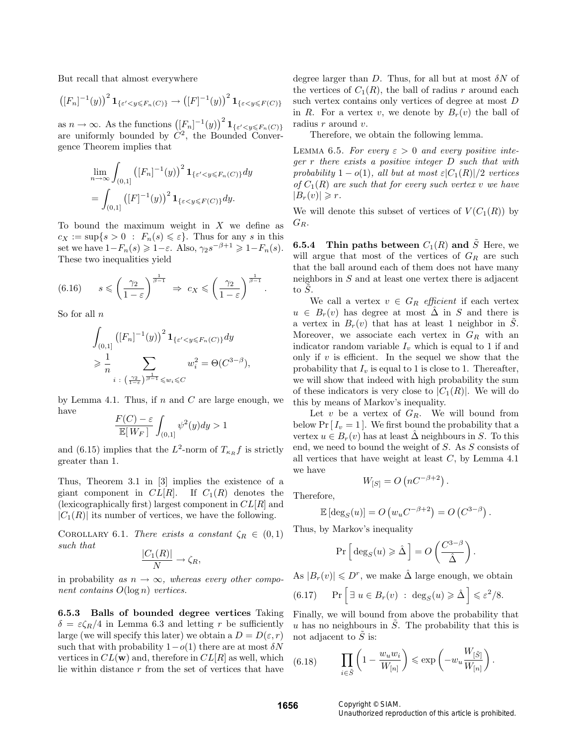But recall that almost everywhere

$$
\left(\left[F_n\right]^{-1}(y)\right)^2 \mathbf{1}_{\{\varepsilon' < y \leq F_n(C)\}} \to \left(\left[F\right]^{-1}(y)\right)^2 \mathbf{1}_{\{\varepsilon < y \leq F(C)\}}
$$

as  $n \to \infty$ . As the functions  $([F_n]^{-1}(y))^2 \mathbf{1}_{\{\varepsilon' < y \leq F_n(C)\}}$ are uniformly bounded by  $C^2$ , the Bounded Convergence Theorem implies that

$$
\lim_{n \to \infty} \int_{(0,1]} \left( [F_n]^{-1}(y) \right)^2 \mathbf{1}_{\{\varepsilon' < y \le F_n(C)\}} dy
$$
\n
$$
= \int_{(0,1]} \left( [F]^{-1}(y) \right)^2 \mathbf{1}_{\{\varepsilon < y \le F(C)\}} dy.
$$

To bound the maximum weight in  $X$  we define as  $c_X := \sup\{s > 0 : F_n(s) \leq \varepsilon\}.$  Thus for any s in this set we have  $1-F_n(s) \geq 1-\varepsilon$ . Also,  $\gamma_2 s^{-\beta+1} \geq 1-F_n(s)$ . These two inequalities yield

(6.16) 
$$
s \leqslant \left(\frac{\gamma_2}{1-\varepsilon}\right)^{\frac{1}{\beta-1}} \Rightarrow c_X \leqslant \left(\frac{\gamma_2}{1-\varepsilon}\right)^{\frac{1}{\beta-1}}.
$$

So for all  $n$ 

$$
\int_{(0,1]} \left( [F_n]^{-1}(y) \right)^2 \mathbf{1}_{\{\varepsilon' < y \le F_n(C)\}} dy
$$
\n
$$
\ge \frac{1}{n} \sum_{i \colon (\frac{\gamma_2}{1-\varepsilon})^{\frac{1}{\beta-1}} \le w_i \le C} w_i^2 = \Theta(C^{3-\beta}),
$$

by Lemma 4.1. Thus, if  $n$  and  $C$  are large enough, we have

$$
\frac{F(C) - \varepsilon}{\mathbb{E}[W_F]} \int_{(0,1]} \psi^2(y) dy > 1
$$

and (6.15) implies that the  $L^2$ -norm of  $T_{\kappa_R}f$  is strictly greater than 1.

Thus, Theorem 3.1 in [3] implies the existence of a giant component in  $CL[R]$ . If  $C_1(R)$  denotes the (lexicographically first) largest component in  $CL[R]$  and  $|C_1(R)|$  its number of vertices, we have the following.

COROLLARY 6.1. There exists a constant  $\zeta_R \in (0,1)$ such that

$$
\frac{|C_1(R)|}{N} \to \zeta_R,
$$

in probability as  $n \to \infty$ , whereas every other component contains  $O(\log n)$  vertices.

6.5.3 Balls of bounded degree vertices Taking  $\delta = \varepsilon \zeta_R/4$  in Lemma 6.3 and letting r be sufficiently large (we will specify this later) we obtain a  $D = D(\varepsilon, r)$ such that with probability  $1-o(1)$  there are at most  $\delta N$ vertices in  $CL(w)$  and, therefore in  $CL[R]$  as well, which lie within distance r from the set of vertices that have

degree larger than D. Thus, for all but at most  $\delta N$  of the vertices of  $C_1(R)$ , the ball of radius r around each such vertex contains only vertices of degree at most D in R. For a vertex v, we denote by  $B_r(v)$  the ball of radius r around v.

Therefore, we obtain the following lemma.

LEMMA 6.5. For every  $\varepsilon > 0$  and every positive integer r there exists a positive integer D such that with probability  $1 - o(1)$ , all but at most  $\varepsilon |C_1(R)|/2$  vertices of  $C_1(R)$  are such that for every such vertex v we have  $|B_r(v)| \geq r$ .

We will denote this subset of vertices of  $V(C_1(R))$  by  $G_R$ .

**6.5.4** Thin paths between  $C_1(R)$  and  $\tilde{S}$  Here, we will argue that most of the vertices of  $G_R$  are such that the ball around each of them does not have many neighbors in  $S$  and at least one vertex there is adjacent to  $\tilde{S}$ .

We call a vertex  $v \in G_R$  efficient if each vertex  $u \in B_r(v)$  has degree at most  $\Delta$  in S and there is a vertex in  $B_r(v)$  that has at least 1 neighbor in S. Moreover, we associate each vertex in  $G_R$  with an indicator random variable  $I_v$  which is equal to 1 if and only if  $v$  is efficient. In the sequel we show that the probability that  $I_v$  is equal to 1 is close to 1. Thereafter, we will show that indeed with high probability the sum of these indicators is very close to  $|C_1(R)|$ . We will do this by means of Markov's inequality.

Let  $v$  be a vertex of  $G_R$ . We will bound from below Pr  $[I_v = 1]$ . We first bound the probability that a vertex  $u \in B_r(v)$  has at least  $\hat{\Delta}$  neighbours in S. To this end, we need to bound the weight of S. As S consists of all vertices that have weight at least  $C$ , by Lemma 4.1 we have

$$
W_{[S]} = O\left(nC^{-\beta+2}\right).
$$

Therefore,

$$
\mathbb{E}\left[\deg_S(u)\right] = O\left(w_u C^{-\beta+2}\right) = O\left(C^{3-\beta}\right).
$$

Thus, by Markov's inequality

$$
\Pr\left[\deg_S(u) \geqslant \hat{\Delta}\right] = O\left(\frac{C^{3-\beta}}{\hat{\Delta}}\right).
$$

As  $|B_r(v)| \leq D^r$ , we make  $\hat{\Delta}$  large enough, we obtain

(6.17) 
$$
\Pr\left[\exists u \in B_r(v) : \deg_S(u) \geq \hat{\Delta}\right] \leq \varepsilon^2/8.
$$

Finally, we will bound from above the probability that u has no neighbours in  $\tilde{S}$ . The probability that this is not adjacent to  $\tilde{S}$  is:

(6.18) 
$$
\prod_{i \in \tilde{S}} \left(1 - \frac{w_u w_i}{W_{[n]}}\right) \leqslant \exp\left(-w_u \frac{W_{[\tilde{S}]}}{W_{[n]}}\right).
$$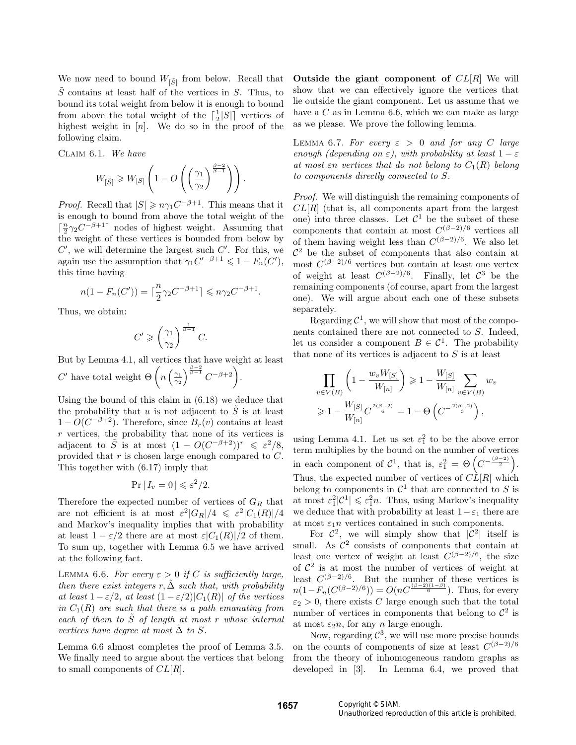We now need to bound  $W_{\lbrack \tilde{S}\rbrack}$  from below. Recall that  $\tilde{S}$  contains at least half of the vertices in S. Thus, to bound its total weight from below it is enough to bound from above the total weight of the  $\lceil \frac{1}{2} |S| \rceil$  vertices of highest weight in  $[n]$ . We do so in the proof of the following claim.

Claim 6.1. We have

$$
W_{\left[\tilde{S}\right]}\geqslant W_{\left[S\right]}\left(1-O\left(\left(\frac{\gamma_{1}}{\gamma_{2}}\right)^{\frac{\beta-2}{\beta-1}}\right)\right).
$$

*Proof.* Recall that  $|S| \geq n\gamma_1 C^{-\beta+1}$ . This means that it is enough to bound from above the total weight of the  $\lceil \frac{n}{2} \gamma_2 C^{-\beta+1} \rceil$  nodes of highest weight. Assuming that the weight of these vertices is bounded from below by  $C'$ , we will determine the largest such  $C'$ . For this, we again use the assumption that  $\gamma_1 C'^{-\beta+1} \leq 1 - F_n(C'),$ this time having

$$
n(1 - F_n(C')) = \lceil \frac{n}{2} \gamma_2 C^{-\beta + 1} \rceil \le n \gamma_2 C^{-\beta + 1}
$$

.

Thus, we obtain:

$$
C' \geqslant \left(\frac{\gamma_1}{\gamma_2}\right)^{\frac{1}{\beta-1}} C.
$$

But by Lemma 4.1, all vertices that have weight at least  $C'$  have total weight  $\Theta\left(n\left(\frac{\gamma_1}{\gamma_2}\right)^{\frac{\beta-2}{\beta-1}}C^{-\beta+2}\right)$ .

Using the bound of this claim in (6.18) we deduce that the probability that u is not adjacent to  $\tilde{S}$  is at least  $1 - O(C^{-\beta+2})$ . Therefore, since  $B_r(v)$  contains at least  $r$  vertices, the probability that none of its vertices is adjacent to  $\tilde{S}$  is at most  $(1 - O(C^{-\beta+2}))^r \leq \varepsilon^2/8$ , provided that  $r$  is chosen large enough compared to  $C$ . This together with (6.17) imply that

$$
\Pr[I_v = 0] \leqslant \varepsilon^2 / 2.
$$

Therefore the expected number of vertices of  ${\cal G}_R$  that are not efficient is at most  $\varepsilon^2 |G_R|/4 \leqslant \varepsilon^2 |C_1(R)|/4$ and Markov's inequality implies that with probability at least  $1 - \varepsilon/2$  there are at most  $\varepsilon |C_1(R)|/2$  of them. To sum up, together with Lemma 6.5 we have arrived at the following fact.

LEMMA 6.6. For every  $\varepsilon > 0$  if C is sufficiently large, then there exist integers r,  $\hat{\Delta}$  such that, with probability at least  $1 - \varepsilon/2$ , at least  $(1 - \varepsilon/2)|C_1(R)|$  of the vertices in  $C_1(R)$  are such that there is a path emanating from each of them to  $\tilde{S}$  of length at most r whose internal vertices have degree at most  $\Delta$  to S.

Lemma 6.6 almost completes the proof of Lemma 3.5. We finally need to argue about the vertices that belong to small components of  $CL[R]$ .

Outside the giant component of  $CL[R]$  We will show that we can effectively ignore the vertices that lie outside the giant component. Let us assume that we have a  $C$  as in Lemma 6.6, which we can make as large as we please. We prove the following lemma.

LEMMA 6.7. For every  $\varepsilon > 0$  and for any C large enough (depending on  $\varepsilon$ ), with probability at least  $1 - \varepsilon$ at most  $\varepsilon$ n vertices that do not belong to  $C_1(R)$  belong to components directly connected to S.

Proof. We will distinguish the remaining components of  $CL[R]$  (that is, all components apart from the largest one) into three classes. Let  $\mathcal{C}^1$  be the subset of these components that contain at most  $C^{(\beta-2)/6}$  vertices all of them having weight less than  $C^{(\beta-2)/6}$ . We also let  $\mathcal{C}^2$  be the subset of components that also contain at most  $C^{(\beta-2)/6}$  vertices but contain at least one vertex of weight at least  $C^{(\beta-2)/6}$ . Finally, let  $\mathcal{C}^3$  be the remaining components (of course, apart from the largest one). We will argue about each one of these subsets separately.

Regarding  $C^1$ , we will show that most of the components contained there are not connected to S. Indeed, let us consider a component  $B \in \mathcal{C}^1$ . The probability that none of its vertices is adjacent to  $S$  is at least

$$
\prod_{v \in V(B)} \left( 1 - \frac{w_v W_{[S]}}{W_{[n]}} \right) \ge 1 - \frac{W_{[S]}}{W_{[n]}} \sum_{v \in V(B)} w_v
$$
  
\n
$$
\ge 1 - \frac{W_{[S]}}{W_{[n]}} C^{\frac{2(\beta - 2)}{6}} = 1 - \Theta \left( C^{-\frac{2(\beta - 2)}{3}} \right),
$$

using Lemma 4.1. Let us set  $\varepsilon_1^2$  to be the above error term multiplies by the bound on the number of vertices in each component of  $\mathcal{C}^1$ , that is,  $\varepsilon_1^2 = \Theta\left(C^{-\frac{(\beta-2)}{2}}\right)$ . Thus, the expected number of vertices of  $CL[R]$  which belong to components in  $\mathcal{C}^1$  that are connected to S is at most  $\varepsilon_1^2|\mathcal{C}^1| \leqslant \varepsilon_1^2 n$ . Thus, using Markov's inequality we deduce that with probability at least  $1-\varepsilon_1$  there are at most  $\varepsilon_1 n$  vertices contained in such components.

For  $\mathcal{C}^2$ , we will simply show that  $|\mathcal{C}^2|$  itself is small. As  $\mathcal{C}^2$  consists of components that contain at least one vertex of weight at least  $C^{(\beta-2)/6}$ , the size of  $\mathcal{C}^2$  is at most the number of vertices of weight at least  $C^{(\beta-2)/6}$ . But the number of these vertices is  $n(1 - F_n(C^{(\beta-2)/6})) = O(nC^{\frac{(\beta-2)(1-\beta)}{6}})$ . Thus, for every  $\varepsilon_2 > 0$ , there exists C large enough such that the total number of vertices in components that belong to  $\mathcal{C}^2$  is at most  $\varepsilon_2 n$ , for any n large enough.

Now, regarding  $\mathcal{C}^3$ , we will use more precise bounds on the counts of components of size at least  $C^{(\beta-2)/6}$ from the theory of inhomogeneous random graphs as developed in [3]. In Lemma 6.4, we proved that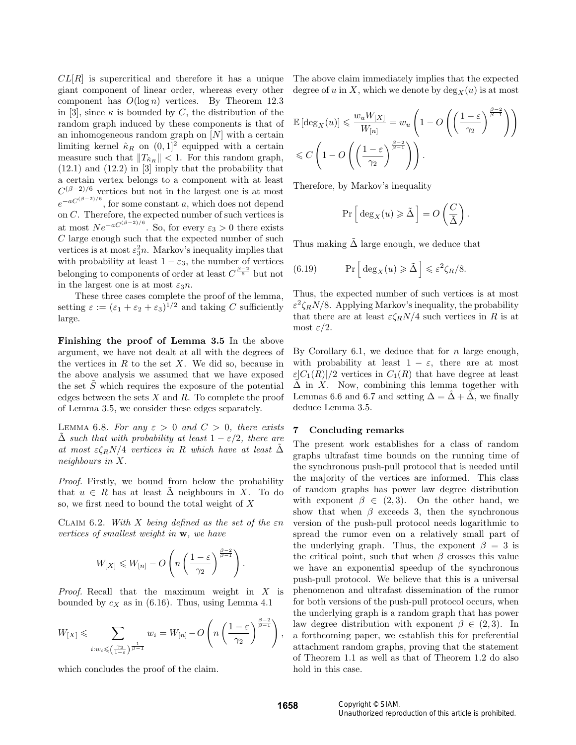$CL[R]$  is supercritical and therefore it has a unique giant component of linear order, whereas every other component has  $O(\log n)$  vertices. By Theorem 12.3 in [3], since  $\kappa$  is bounded by C, the distribution of the random graph induced by these components is that of an inhomogeneous random graph on  $[N]$  with a certain limiting kernel  $\hat{\kappa}_R$  on  $(0,1]^2$  equipped with a certain measure such that  $||T_{\hat{\kappa}_R}|| < 1$ . For this random graph, (12.1) and (12.2) in [3] imply that the probability that a certain vertex belongs to a component with at least  $C^{(\beta-2)/6}$  vertices but not in the largest one is at most  $e^{-aC^{(\beta-2)/6}}$ , for some constant a, which does not depend on  $C$ . Therefore, the expected number of such vertices is at most  $Ne^{-aC^{(\beta-2)/6}}$ . So, for every  $\varepsilon_3 > 0$  there exists  $C$  large enough such that the expected number of such vertices is at most  $\varepsilon_3^2 n$ . Markov's inequality implies that with probability at least  $1 - \varepsilon_3$ , the number of vertices belonging to components of order at least  $C^{\frac{\beta-2}{6}}$  but not in the largest one is at most  $\varepsilon_3 n$ .

These three cases complete the proof of the lemma, setting  $\varepsilon := (\varepsilon_1 + \varepsilon_2 + \varepsilon_3)^{1/2}$  and taking C sufficiently large.

Finishing the proof of Lemma 3.5 In the above argument, we have not dealt at all with the degrees of the vertices in  $R$  to the set  $X$ . We did so, because in the above analysis we assumed that we have exposed the set  $\tilde{S}$  which requires the exposure of the potential edges between the sets  $X$  and  $R$ . To complete the proof of Lemma 3.5, we consider these edges separately.

LEMMA 6.8. For any  $\varepsilon > 0$  and  $C > 0$ , there exists  $\Delta$  such that with probability at least  $1 - \varepsilon/2$ , there are at most  $\varepsilon \zeta_R N/4$  vertices in R which have at least  $\Delta$ neighbours in X.

Proof. Firstly, we bound from below the probability that  $u \in R$  has at least  $\Delta$  neighbours in X. To do so, we first need to bound the total weight of X

CLAIM 6.2. With X being defined as the set of the  $\varepsilon n$ vertices of smallest weight in w, we have

$$
W_{[X]} \le W_{[n]} - O\left(n\left(\frac{1-\varepsilon}{\gamma_2}\right)^{\frac{\beta-2}{\beta-1}}\right)
$$

*Proof.* Recall that the maximum weight in  $X$  is bounded by  $c_X$  as in (6.16). Thus, using Lemma 4.1

$$
W_{[X]} \leqslant \sum_{i:w_i \leqslant \left(\frac{\gamma_2}{1-\varepsilon}\right)^{\frac{1}{\beta-1}}} w_i = W_{[n]} - O\left(n\left(\frac{1-\varepsilon}{\gamma_2}\right)^{\frac{\beta-2}{\beta-1}}\right),
$$

which concludes the proof of the claim.

The above claim immediately implies that the expected degree of u in X, which we denote by  $\deg_X(u)$  is at most

$$
\mathbb{E}\left[\deg_X(u)\right] \leq \frac{w_u W_{[X]}}{W_{[n]}} = w_u \left(1 - O\left(\left(\frac{1-\varepsilon}{\gamma_2}\right)^{\frac{\beta-2}{\beta-1}}\right)\right)
$$
  

$$
\leq C \left(1 - O\left(\left(\frac{1-\varepsilon}{\gamma_2}\right)^{\frac{\beta-2}{\beta-1}}\right)\right).
$$

Therefore, by Markov's inequality

$$
\Pr\left[\deg_X(u) \geq \tilde{\Delta}\right] = O\left(\frac{C}{\tilde{\Delta}}\right).
$$

Thus making  $\tilde{\Delta}$  large enough, we deduce that

(6.19) 
$$
\Pr\left[\deg_X(u) \geq \tilde{\Delta}\right] \leq \varepsilon^2 \zeta_R/8.
$$

Thus, the expected number of such vertices is at most  $\varepsilon^2 \zeta_R N/8$ . Applying Markov's inequality, the probability that there are at least  $\varepsilon \zeta_R N/4$  such vertices in R is at most  $\varepsilon/2$ .

By Corollary 6.1, we deduce that for  $n$  large enough, with probability at least  $1 - \varepsilon$ , there are at most  $\varepsilon|C_1(R)|/2$  vertices in  $C_1(R)$  that have degree at least  $\Delta$  in X. Now, combining this lemma together with Lemmas 6.6 and 6.7 and setting  $\Delta = \hat{\Delta} + \hat{\Delta}$ , we finally deduce Lemma 3.5.

#### 7 Concluding remarks

The present work establishes for a class of random graphs ultrafast time bounds on the running time of the synchronous push-pull protocol that is needed until the majority of the vertices are informed. This class of random graphs has power law degree distribution with exponent  $\beta \in (2,3)$ . On the other hand, we show that when  $\beta$  exceeds 3, then the synchronous version of the push-pull protocol needs logarithmic to spread the rumor even on a relatively small part of the underlying graph. Thus, the exponent  $\beta = 3$  is the critical point, such that when  $\beta$  crosses this value we have an exponential speedup of the synchronous push-pull protocol. We believe that this is a universal phenomenon and ultrafast dissemination of the rumor for both versions of the push-pull protocol occurs, when the underlying graph is a random graph that has power law degree distribution with exponent  $\beta \in (2,3)$ . In a forthcoming paper, we establish this for preferential attachment random graphs, proving that the statement of Theorem 1.1 as well as that of Theorem 1.2 do also hold in this case.

.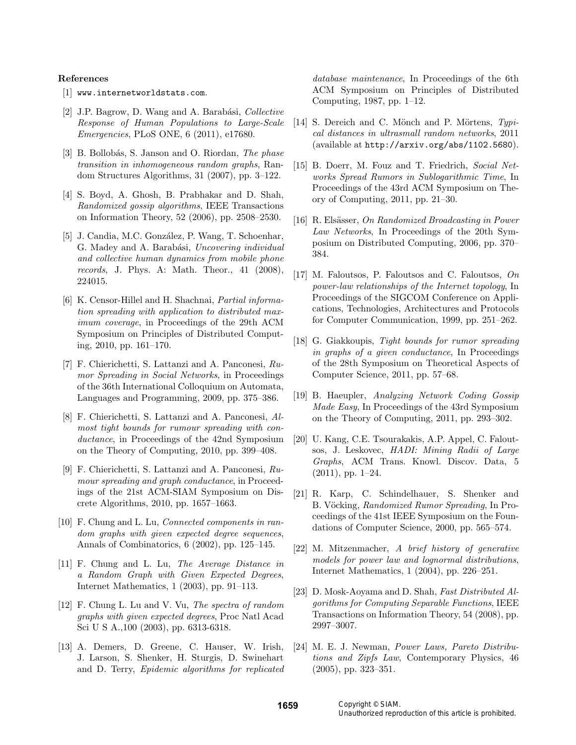#### References

- [1] www.internetworldstats.com.
- [2] J.P. Bagrow, D. Wang and A. Barabási, *Collective* Response of Human Populations to Large-Scale Emergencies, PLoS ONE, 6 (2011), e17680.
- [3] B. Bollobás, S. Janson and O. Riordan, The phase transition in inhomogeneous random graphs, Random Structures Algorithms, 31 (2007), pp. 3–122.
- [4] S. Boyd, A. Ghosh, B. Prabhakar and D. Shah, Randomized gossip algorithms, IEEE Transactions on Information Theory, 52 (2006), pp. 2508–2530.
- [5] J. Candia, M.C. González, P. Wang, T. Schoenhar, G. Madey and A. Barabási, Uncovering individual and collective human dynamics from mobile phone records, J. Phys. A: Math. Theor., 41 (2008), 224015.
- [6] K. Censor-Hillel and H. Shachnai, Partial information spreading with application to distributed maximum coverage, in Proceedings of the 29th ACM Symposium on Principles of Distributed Computing, 2010, pp. 161–170.
- [7] F. Chierichetti, S. Lattanzi and A. Panconesi, Rumor Spreading in Social Networks, in Proceedings of the 36th International Colloquium on Automata, Languages and Programming, 2009, pp. 375–386.
- [8] F. Chierichetti, S. Lattanzi and A. Panconesi, Almost tight bounds for rumour spreading with conductance, in Proceedings of the 42nd Symposium on the Theory of Computing, 2010, pp. 399–408.
- [9] F. Chierichetti, S. Lattanzi and A. Panconesi, Rumour spreading and graph conductance, in Proceedings of the 21st ACM-SIAM Symposium on Discrete Algorithms, 2010, pp. 1657–1663.
- [10] F. Chung and L. Lu, *Connected components in ran*dom graphs with given expected degree sequences, Annals of Combinatorics, 6 (2002), pp. 125–145.
- [11] F. Chung and L. Lu, The Average Distance in a Random Graph with Given Expected Degrees, Internet Mathematics, 1 (2003), pp. 91–113.
- [12] F. Chung L. Lu and V. Vu, The spectra of random graphs with given expected degrees, Proc Natl Acad Sci U S A.,100 (2003), pp. 6313-6318.
- [13] A. Demers, D. Greene, C. Hauser, W. Irish, J. Larson, S. Shenker, H. Sturgis, D. Swinehart and D. Terry, Epidemic algorithms for replicated

database maintenance, In Proceedings of the 6th ACM Symposium on Principles of Distributed Computing, 1987, pp. 1–12.

- [14] S. Dereich and C. Mönch and P. Mörtens,  $Typi$ cal distances in ultrasmall random networks, 2011 (available at http://arxiv.org/abs/1102.5680).
- [15] B. Doerr, M. Fouz and T. Friedrich, Social Networks Spread Rumors in Sublogarithmic Time, In Proceedings of the 43rd ACM Symposium on Theory of Computing, 2011, pp. 21–30.
- [16] R. Elsässer, On Randomized Broadcasting in Power Law Networks, In Proceedings of the 20th Symposium on Distributed Computing, 2006, pp. 370– 384.
- [17] M. Faloutsos, P. Faloutsos and C. Faloutsos, On power-law relationships of the Internet topology, In Proceedings of the SIGCOM Conference on Applications, Technologies, Architectures and Protocols for Computer Communication, 1999, pp. 251–262.
- [18] G. Giakkoupis, Tight bounds for rumor spreading in graphs of a given conductance, In Proceedings of the 28th Symposium on Theoretical Aspects of Computer Science, 2011, pp. 57–68.
- [19] B. Haeupler, Analyzing Network Coding Gossip Made Easy, In Proceedings of the 43rd Symposium on the Theory of Computing, 2011, pp. 293–302.
- [20] U. Kang, C.E. Tsourakakis, A.P. Appel, C. Faloutsos, J. Leskovec, HADI: Mining Radii of Large Graphs, ACM Trans. Knowl. Discov. Data, 5  $(2011)$ , pp. 1–24.
- [21] R. Karp, C. Schindelhauer, S. Shenker and B. Vöcking, Randomized Rumor Spreading, In Proceedings of the 41st IEEE Symposium on the Foundations of Computer Science, 2000, pp. 565–574.
- [22] M. Mitzenmacher, A brief history of generative models for power law and lognormal distributions, Internet Mathematics, 1 (2004), pp. 226–251.
- [23] D. Mosk-Aoyama and D. Shah, Fast Distributed Algorithms for Computing Separable Functions, IEEE Transactions on Information Theory, 54 (2008), pp. 2997–3007.
- [24] M. E. J. Newman, Power Laws, Pareto Distributions and Zipfs Law, Contemporary Physics, 46 (2005), pp. 323–351.